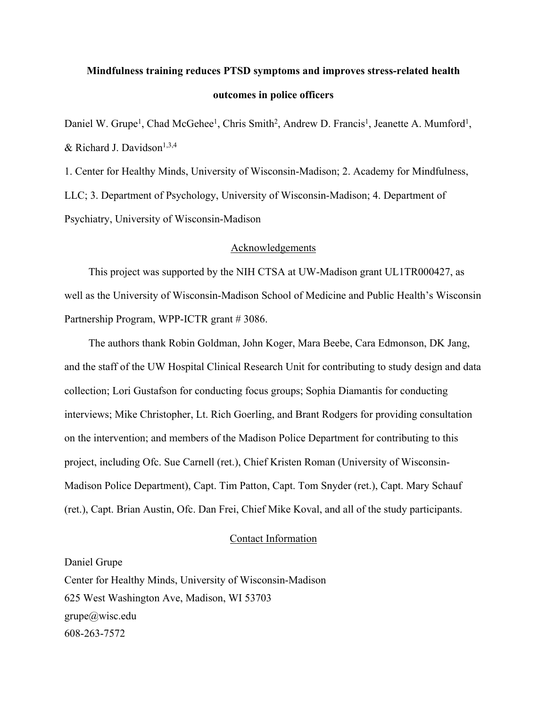# **Mindfulness training reduces PTSD symptoms and improves stress-related health outcomes in police officers**

Daniel W. Grupe<sup>1</sup>, Chad McGehee<sup>1</sup>, Chris Smith<sup>2</sup>, Andrew D. Francis<sup>1</sup>, Jeanette A. Mumford<sup>1</sup>, & Richard J. Davidson<sup>1,3,4</sup>

1. Center for Healthy Minds, University of Wisconsin-Madison; 2. Academy for Mindfulness, LLC; 3. Department of Psychology, University of Wisconsin-Madison; 4. Department of Psychiatry, University of Wisconsin-Madison

#### Acknowledgements

This project was supported by the NIH CTSA at UW-Madison grant UL1TR000427, as well as the University of Wisconsin-Madison School of Medicine and Public Health's Wisconsin Partnership Program, WPP-ICTR grant # 3086.

The authors thank Robin Goldman, John Koger, Mara Beebe, Cara Edmonson, DK Jang, and the staff of the UW Hospital Clinical Research Unit for contributing to study design and data collection; Lori Gustafson for conducting focus groups; Sophia Diamantis for conducting interviews; Mike Christopher, Lt. Rich Goerling, and Brant Rodgers for providing consultation on the intervention; and members of the Madison Police Department for contributing to this project, including Ofc. Sue Carnell (ret.), Chief Kristen Roman (University of Wisconsin-Madison Police Department), Capt. Tim Patton, Capt. Tom Snyder (ret.), Capt. Mary Schauf (ret.), Capt. Brian Austin, Ofc. Dan Frei, Chief Mike Koval, and all of the study participants.

# Contact Information

Daniel Grupe Center for Healthy Minds, University of Wisconsin-Madison 625 West Washington Ave, Madison, WI 53703 grupe@wisc.edu 608-263-7572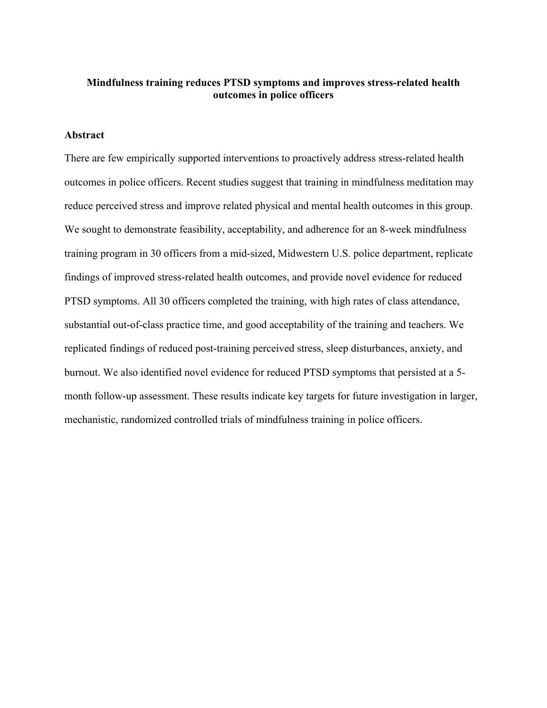# **Mindfulness training reduces PTSD symptoms and improves stress-related health outcomes in police officers**

# **Abstract**

There are few empirically supported interventions to proactively address stress-related health outcomes in police officers. Recent studies suggest that training in mindfulness meditation may reduce perceived stress and improve related physical and mental health outcomes in this group. We sought to demonstrate feasibility, acceptability, and adherence for an 8-week mindfulness training program in 30 officers from a mid-sized, Midwestern U.S. police department, replicate findings of improved stress-related health outcomes, and provide novel evidence for reduced PTSD symptoms. All 30 officers completed the training, with high rates of class attendance, substantial out-of-class practice time, and good acceptability of the training and teachers. We replicated findings of reduced post-training perceived stress, sleep disturbances, anxiety, and burnout. We also identified novel evidence for reduced PTSD symptoms that persisted at a 5 month follow-up assessment. These results indicate key targets for future investigation in larger, mechanistic, randomized controlled trials of mindfulness training in police officers.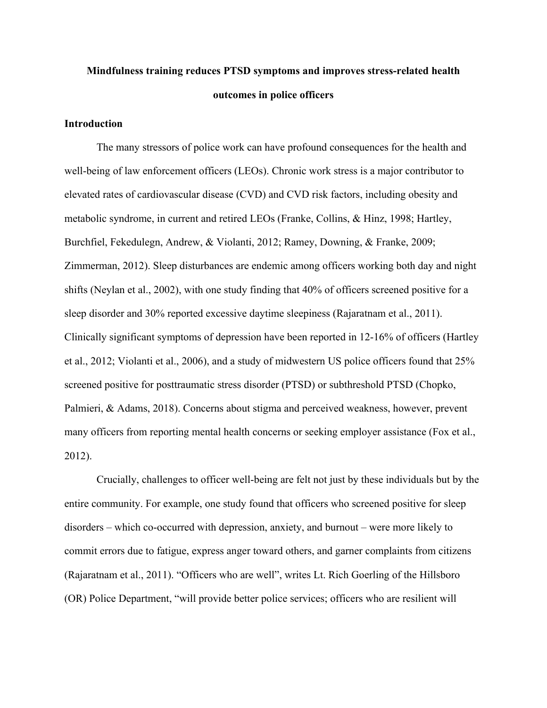# **Mindfulness training reduces PTSD symptoms and improves stress-related health outcomes in police officers**

# **Introduction**

The many stressors of police work can have profound consequences for the health and well-being of law enforcement officers (LEOs). Chronic work stress is a major contributor to elevated rates of cardiovascular disease (CVD) and CVD risk factors, including obesity and metabolic syndrome, in current and retired LEOs (Franke, Collins, & Hinz, 1998; Hartley, Burchfiel, Fekedulegn, Andrew, & Violanti, 2012; Ramey, Downing, & Franke, 2009; Zimmerman, 2012). Sleep disturbances are endemic among officers working both day and night shifts (Neylan et al., 2002), with one study finding that 40% of officers screened positive for a sleep disorder and 30% reported excessive daytime sleepiness (Rajaratnam et al., 2011). Clinically significant symptoms of depression have been reported in 12-16% of officers (Hartley et al., 2012; Violanti et al., 2006), and a study of midwestern US police officers found that 25% screened positive for posttraumatic stress disorder (PTSD) or subthreshold PTSD (Chopko, Palmieri, & Adams, 2018). Concerns about stigma and perceived weakness, however, prevent many officers from reporting mental health concerns or seeking employer assistance (Fox et al., 2012).

Crucially, challenges to officer well-being are felt not just by these individuals but by the entire community. For example, one study found that officers who screened positive for sleep disorders – which co-occurred with depression, anxiety, and burnout – were more likely to commit errors due to fatigue, express anger toward others, and garner complaints from citizens (Rajaratnam et al., 2011). "Officers who are well", writes Lt. Rich Goerling of the Hillsboro (OR) Police Department, "will provide better police services; officers who are resilient will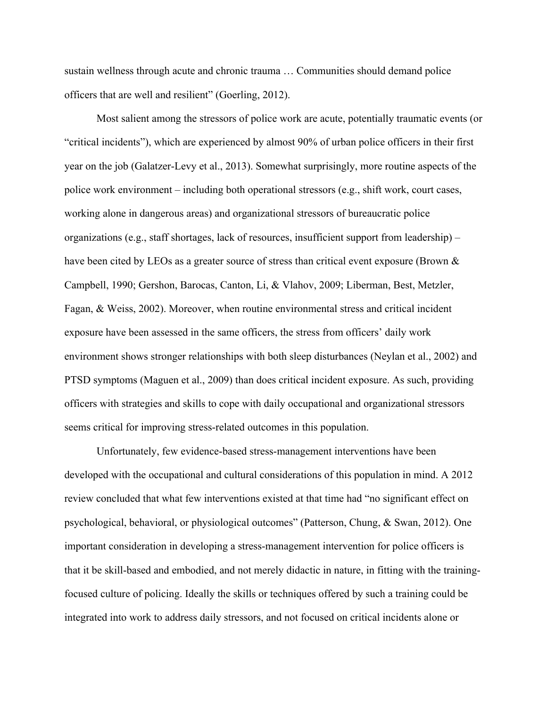sustain wellness through acute and chronic trauma … Communities should demand police officers that are well and resilient" (Goerling, 2012).

Most salient among the stressors of police work are acute, potentially traumatic events (or "critical incidents"), which are experienced by almost 90% of urban police officers in their first year on the job (Galatzer-Levy et al., 2013). Somewhat surprisingly, more routine aspects of the police work environment – including both operational stressors (e.g., shift work, court cases, working alone in dangerous areas) and organizational stressors of bureaucratic police organizations (e.g., staff shortages, lack of resources, insufficient support from leadership) – have been cited by LEOs as a greater source of stress than critical event exposure (Brown & Campbell, 1990; Gershon, Barocas, Canton, Li, & Vlahov, 2009; Liberman, Best, Metzler, Fagan, & Weiss, 2002). Moreover, when routine environmental stress and critical incident exposure have been assessed in the same officers, the stress from officers' daily work environment shows stronger relationships with both sleep disturbances (Neylan et al., 2002) and PTSD symptoms (Maguen et al., 2009) than does critical incident exposure. As such, providing officers with strategies and skills to cope with daily occupational and organizational stressors seems critical for improving stress-related outcomes in this population.

Unfortunately, few evidence-based stress-management interventions have been developed with the occupational and cultural considerations of this population in mind. A 2012 review concluded that what few interventions existed at that time had "no significant effect on psychological, behavioral, or physiological outcomes" (Patterson, Chung, & Swan, 2012). One important consideration in developing a stress-management intervention for police officers is that it be skill-based and embodied, and not merely didactic in nature, in fitting with the trainingfocused culture of policing. Ideally the skills or techniques offered by such a training could be integrated into work to address daily stressors, and not focused on critical incidents alone or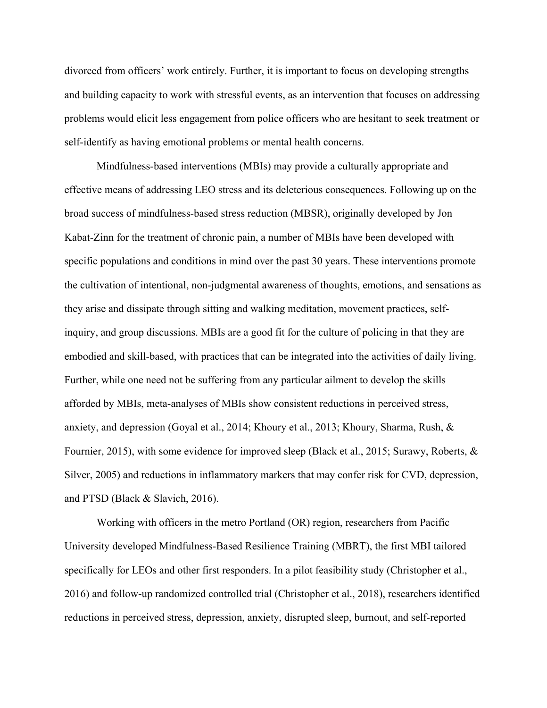divorced from officers' work entirely. Further, it is important to focus on developing strengths and building capacity to work with stressful events, as an intervention that focuses on addressing problems would elicit less engagement from police officers who are hesitant to seek treatment or self-identify as having emotional problems or mental health concerns.

Mindfulness-based interventions (MBIs) may provide a culturally appropriate and effective means of addressing LEO stress and its deleterious consequences. Following up on the broad success of mindfulness-based stress reduction (MBSR), originally developed by Jon Kabat-Zinn for the treatment of chronic pain, a number of MBIs have been developed with specific populations and conditions in mind over the past 30 years. These interventions promote the cultivation of intentional, non-judgmental awareness of thoughts, emotions, and sensations as they arise and dissipate through sitting and walking meditation, movement practices, selfinquiry, and group discussions. MBIs are a good fit for the culture of policing in that they are embodied and skill-based, with practices that can be integrated into the activities of daily living. Further, while one need not be suffering from any particular ailment to develop the skills afforded by MBIs, meta-analyses of MBIs show consistent reductions in perceived stress, anxiety, and depression (Goyal et al., 2014; Khoury et al., 2013; Khoury, Sharma, Rush, & Fournier, 2015), with some evidence for improved sleep (Black et al., 2015; Surawy, Roberts, & Silver, 2005) and reductions in inflammatory markers that may confer risk for CVD, depression, and PTSD (Black & Slavich, 2016).

Working with officers in the metro Portland (OR) region, researchers from Pacific University developed Mindfulness-Based Resilience Training (MBRT), the first MBI tailored specifically for LEOs and other first responders. In a pilot feasibility study (Christopher et al., 2016) and follow-up randomized controlled trial (Christopher et al., 2018), researchers identified reductions in perceived stress, depression, anxiety, disrupted sleep, burnout, and self-reported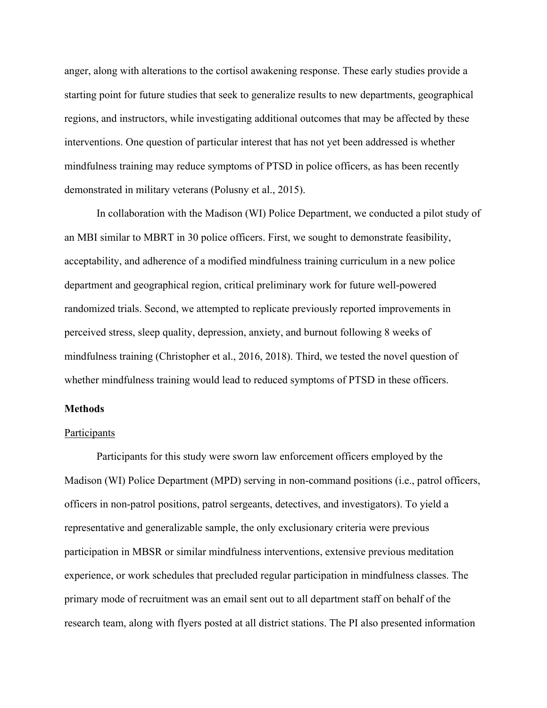anger, along with alterations to the cortisol awakening response. These early studies provide a starting point for future studies that seek to generalize results to new departments, geographical regions, and instructors, while investigating additional outcomes that may be affected by these interventions. One question of particular interest that has not yet been addressed is whether mindfulness training may reduce symptoms of PTSD in police officers, as has been recently demonstrated in military veterans (Polusny et al., 2015).

In collaboration with the Madison (WI) Police Department, we conducted a pilot study of an MBI similar to MBRT in 30 police officers. First, we sought to demonstrate feasibility, acceptability, and adherence of a modified mindfulness training curriculum in a new police department and geographical region, critical preliminary work for future well-powered randomized trials. Second, we attempted to replicate previously reported improvements in perceived stress, sleep quality, depression, anxiety, and burnout following 8 weeks of mindfulness training (Christopher et al., 2016, 2018). Third, we tested the novel question of whether mindfulness training would lead to reduced symptoms of PTSD in these officers.

# **Methods**

#### Participants

Participants for this study were sworn law enforcement officers employed by the Madison (WI) Police Department (MPD) serving in non-command positions (i.e., patrol officers, officers in non-patrol positions, patrol sergeants, detectives, and investigators). To yield a representative and generalizable sample, the only exclusionary criteria were previous participation in MBSR or similar mindfulness interventions, extensive previous meditation experience, or work schedules that precluded regular participation in mindfulness classes. The primary mode of recruitment was an email sent out to all department staff on behalf of the research team, along with flyers posted at all district stations. The PI also presented information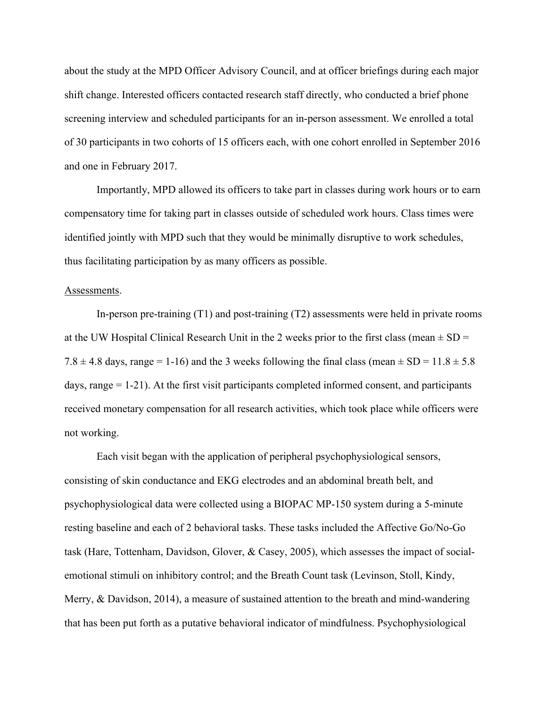about the study at the MPD Officer Advisory Council, and at officer briefings during each major shift change. Interested officers contacted research staff directly, who conducted a brief phone screening interview and scheduled participants for an in-person assessment. We enrolled a total of 30 participants in two cohorts of 15 officers each, with one cohort enrolled in September 2016 and one in February 2017.

Importantly, MPD allowed its officers to take part in classes during work hours or to earn compensatory time for taking part in classes outside of scheduled work hours. Class times were identified jointly with MPD such that they would be minimally disruptive to work schedules, thus facilitating participation by as many officers as possible.

#### Assessments.

In-person pre-training (T1) and post-training (T2) assessments were held in private rooms at the UW Hospital Clinical Research Unit in the 2 weeks prior to the first class (mean  $\pm$  SD =  $7.8 \pm 4.8$  days, range = 1-16) and the 3 weeks following the final class (mean  $\pm$  SD = 11.8  $\pm$  5.8 days, range  $= 1-21$ ). At the first visit participants completed informed consent, and participants received monetary compensation for all research activities, which took place while officers were not working.

Each visit began with the application of peripheral psychophysiological sensors, consisting of skin conductance and EKG electrodes and an abdominal breath belt, and psychophysiological data were collected using a BIOPAC MP-150 system during a 5-minute resting baseline and each of 2 behavioral tasks. These tasks included the Affective Go/No-Go task (Hare, Tottenham, Davidson, Glover, & Casey, 2005), which assesses the impact of socialemotional stimuli on inhibitory control; and the Breath Count task (Levinson, Stoll, Kindy, Merry, & Davidson, 2014), a measure of sustained attention to the breath and mind-wandering that has been put forth as a putative behavioral indicator of mindfulness. Psychophysiological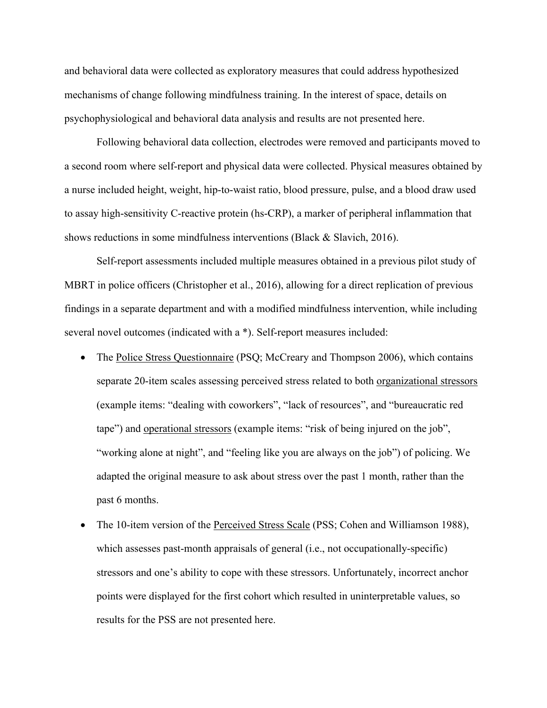and behavioral data were collected as exploratory measures that could address hypothesized mechanisms of change following mindfulness training. In the interest of space, details on psychophysiological and behavioral data analysis and results are not presented here.

Following behavioral data collection, electrodes were removed and participants moved to a second room where self-report and physical data were collected. Physical measures obtained by a nurse included height, weight, hip-to-waist ratio, blood pressure, pulse, and a blood draw used to assay high-sensitivity C-reactive protein (hs-CRP), a marker of peripheral inflammation that shows reductions in some mindfulness interventions (Black & Slavich, 2016).

Self-report assessments included multiple measures obtained in a previous pilot study of MBRT in police officers (Christopher et al., 2016), allowing for a direct replication of previous findings in a separate department and with a modified mindfulness intervention, while including several novel outcomes (indicated with a \*). Self-report measures included:

- The Police Stress Questionnaire (PSQ; McCreary and Thompson 2006), which contains separate 20-item scales assessing perceived stress related to both organizational stressors (example items: "dealing with coworkers", "lack of resources", and "bureaucratic red tape") and operational stressors (example items: "risk of being injured on the job", "working alone at night", and "feeling like you are always on the job") of policing. We adapted the original measure to ask about stress over the past 1 month, rather than the past 6 months.
- The 10-item version of the Perceived Stress Scale (PSS; Cohen and Williamson 1988), which assesses past-month appraisals of general (i.e., not occupationally-specific) stressors and one's ability to cope with these stressors. Unfortunately, incorrect anchor points were displayed for the first cohort which resulted in uninterpretable values, so results for the PSS are not presented here.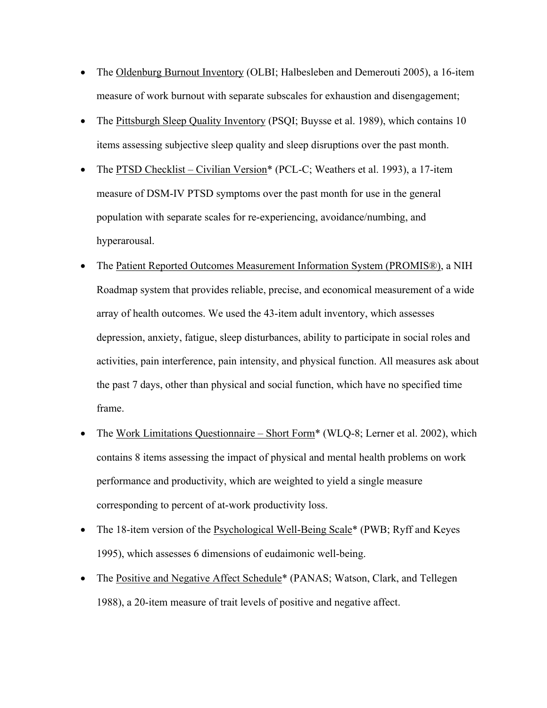- The Oldenburg Burnout Inventory (OLBI; Halbesleben and Demerouti 2005), a 16-item measure of work burnout with separate subscales for exhaustion and disengagement;
- The Pittsburgh Sleep Quality Inventory (PSQI; Buysse et al. 1989), which contains 10 items assessing subjective sleep quality and sleep disruptions over the past month.
- The PTSD Checklist Civilian Version\* (PCL-C; Weathers et al. 1993), a 17-item measure of DSM-IV PTSD symptoms over the past month for use in the general population with separate scales for re-experiencing, avoidance/numbing, and hyperarousal.
- The Patient Reported Outcomes Measurement Information System (PROMIS®), a NIH Roadmap system that provides reliable, precise, and economical measurement of a wide array of health outcomes. We used the 43-item adult inventory, which assesses depression, anxiety, fatigue, sleep disturbances, ability to participate in social roles and activities, pain interference, pain intensity, and physical function. All measures ask about the past 7 days, other than physical and social function, which have no specified time frame.
- The Work Limitations Questionnaire Short Form\* (WLQ-8; Lerner et al. 2002), which contains 8 items assessing the impact of physical and mental health problems on work performance and productivity, which are weighted to yield a single measure corresponding to percent of at-work productivity loss.
- The 18-item version of the Psychological Well-Being Scale\* (PWB; Ryff and Keyes 1995), which assesses 6 dimensions of eudaimonic well-being.
- The Positive and Negative Affect Schedule\* (PANAS; Watson, Clark, and Tellegen 1988), a 20-item measure of trait levels of positive and negative affect.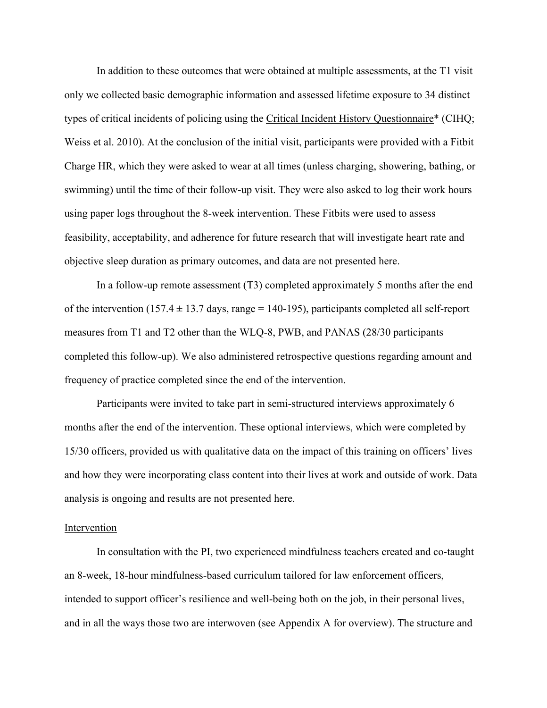In addition to these outcomes that were obtained at multiple assessments, at the T1 visit only we collected basic demographic information and assessed lifetime exposure to 34 distinct types of critical incidents of policing using the Critical Incident History Questionnaire\* (CIHQ; Weiss et al. 2010). At the conclusion of the initial visit, participants were provided with a Fitbit Charge HR, which they were asked to wear at all times (unless charging, showering, bathing, or swimming) until the time of their follow-up visit. They were also asked to log their work hours using paper logs throughout the 8-week intervention. These Fitbits were used to assess feasibility, acceptability, and adherence for future research that will investigate heart rate and objective sleep duration as primary outcomes, and data are not presented here.

In a follow-up remote assessment (T3) completed approximately 5 months after the end of the intervention (157.4  $\pm$  13.7 days, range = 140-195), participants completed all self-report measures from T1 and T2 other than the WLQ-8, PWB, and PANAS (28/30 participants completed this follow-up). We also administered retrospective questions regarding amount and frequency of practice completed since the end of the intervention.

Participants were invited to take part in semi-structured interviews approximately 6 months after the end of the intervention. These optional interviews, which were completed by 15/30 officers, provided us with qualitative data on the impact of this training on officers' lives and how they were incorporating class content into their lives at work and outside of work. Data analysis is ongoing and results are not presented here.

#### Intervention

In consultation with the PI, two experienced mindfulness teachers created and co-taught an 8-week, 18-hour mindfulness-based curriculum tailored for law enforcement officers, intended to support officer's resilience and well-being both on the job, in their personal lives, and in all the ways those two are interwoven (see Appendix A for overview). The structure and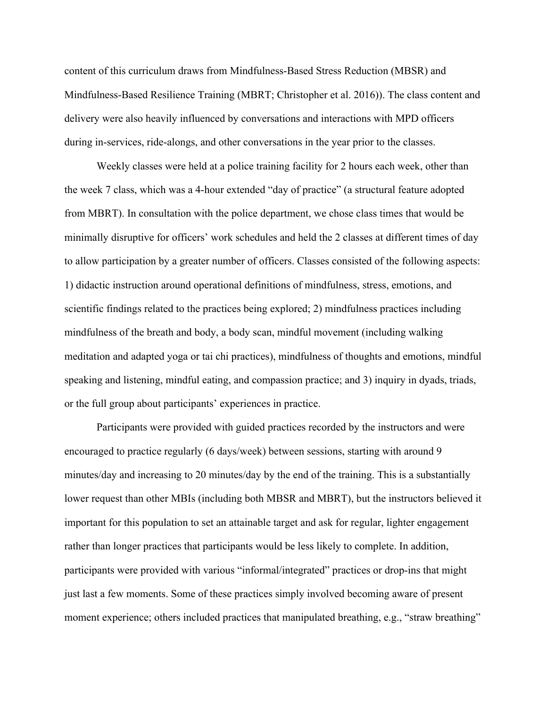content of this curriculum draws from Mindfulness-Based Stress Reduction (MBSR) and Mindfulness-Based Resilience Training (MBRT; Christopher et al. 2016)). The class content and delivery were also heavily influenced by conversations and interactions with MPD officers during in-services, ride-alongs, and other conversations in the year prior to the classes.

Weekly classes were held at a police training facility for 2 hours each week, other than the week 7 class, which was a 4-hour extended "day of practice" (a structural feature adopted from MBRT). In consultation with the police department, we chose class times that would be minimally disruptive for officers' work schedules and held the 2 classes at different times of day to allow participation by a greater number of officers. Classes consisted of the following aspects: 1) didactic instruction around operational definitions of mindfulness, stress, emotions, and scientific findings related to the practices being explored; 2) mindfulness practices including mindfulness of the breath and body, a body scan, mindful movement (including walking meditation and adapted yoga or tai chi practices), mindfulness of thoughts and emotions, mindful speaking and listening, mindful eating, and compassion practice; and 3) inquiry in dyads, triads, or the full group about participants' experiences in practice.

Participants were provided with guided practices recorded by the instructors and were encouraged to practice regularly (6 days/week) between sessions, starting with around 9 minutes/day and increasing to 20 minutes/day by the end of the training. This is a substantially lower request than other MBIs (including both MBSR and MBRT), but the instructors believed it important for this population to set an attainable target and ask for regular, lighter engagement rather than longer practices that participants would be less likely to complete. In addition, participants were provided with various "informal/integrated" practices or drop-ins that might just last a few moments. Some of these practices simply involved becoming aware of present moment experience; others included practices that manipulated breathing, e.g., "straw breathing"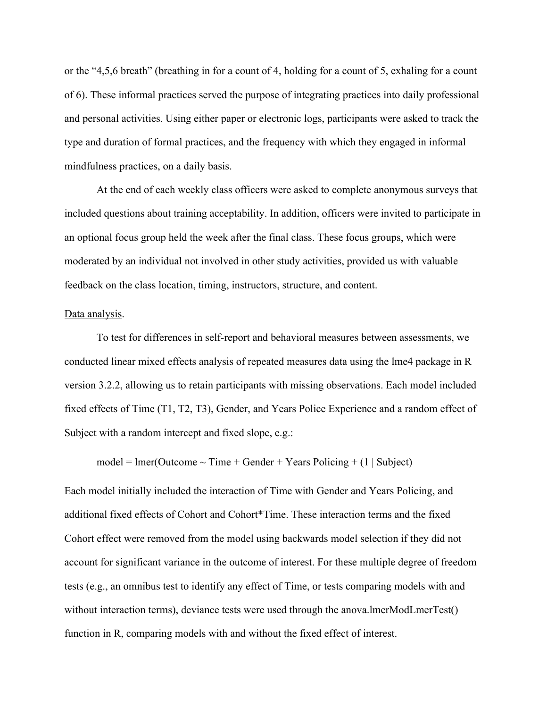or the "4,5,6 breath" (breathing in for a count of 4, holding for a count of 5, exhaling for a count of 6). These informal practices served the purpose of integrating practices into daily professional and personal activities. Using either paper or electronic logs, participants were asked to track the type and duration of formal practices, and the frequency with which they engaged in informal mindfulness practices, on a daily basis.

At the end of each weekly class officers were asked to complete anonymous surveys that included questions about training acceptability. In addition, officers were invited to participate in an optional focus group held the week after the final class. These focus groups, which were moderated by an individual not involved in other study activities, provided us with valuable feedback on the class location, timing, instructors, structure, and content.

#### Data analysis.

To test for differences in self-report and behavioral measures between assessments, we conducted linear mixed effects analysis of repeated measures data using the lme4 package in R version 3.2.2, allowing us to retain participants with missing observations. Each model included fixed effects of Time (T1, T2, T3), Gender, and Years Police Experience and a random effect of Subject with a random intercept and fixed slope, e.g.:

 $model = \text{Imer}(\text{Outcome} \sim \text{Time} + \text{Gender} + \text{Years Policy} + (1 \mid \text{Subject})$ 

Each model initially included the interaction of Time with Gender and Years Policing, and additional fixed effects of Cohort and Cohort\*Time. These interaction terms and the fixed Cohort effect were removed from the model using backwards model selection if they did not account for significant variance in the outcome of interest. For these multiple degree of freedom tests (e.g., an omnibus test to identify any effect of Time, or tests comparing models with and without interaction terms), deviance tests were used through the anova. ImerModLmerTest() function in R, comparing models with and without the fixed effect of interest.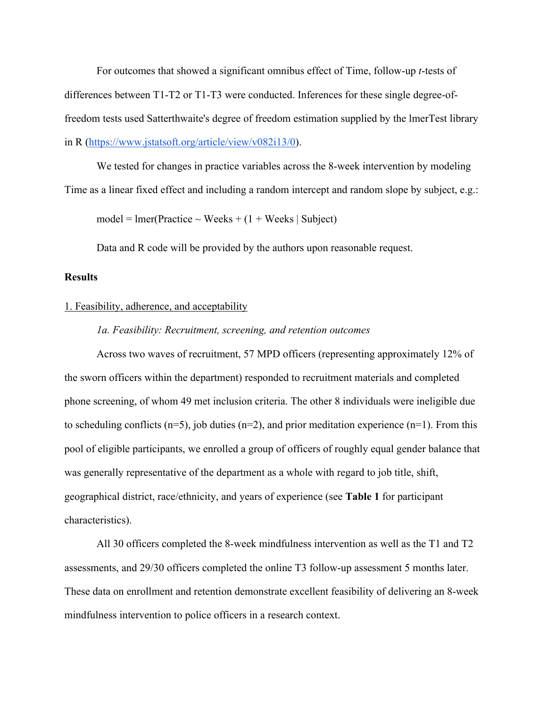For outcomes that showed a significant omnibus effect of Time, follow-up *t*-tests of differences between T1-T2 or T1-T3 were conducted. Inferences for these single degree-offreedom tests used Satterthwaite's degree of freedom estimation supplied by the lmerTest library in R (https://www.jstatsoft.org/article/view/v082i13/0).

We tested for changes in practice variables across the 8-week intervention by modeling Time as a linear fixed effect and including a random intercept and random slope by subject, e.g.:

 $model = \text{Imer}(\text{Practice} \sim \text{Weeks} + (1 + \text{Weeks} \mid \text{Subject})$ 

Data and R code will be provided by the authors upon reasonable request.

# **Results**

#### 1. Feasibility, adherence, and acceptability

# *1a. Feasibility: Recruitment, screening, and retention outcomes*

Across two waves of recruitment, 57 MPD officers (representing approximately 12% of the sworn officers within the department) responded to recruitment materials and completed phone screening, of whom 49 met inclusion criteria. The other 8 individuals were ineligible due to scheduling conflicts (n=5), job duties (n=2), and prior meditation experience (n=1). From this pool of eligible participants, we enrolled a group of officers of roughly equal gender balance that was generally representative of the department as a whole with regard to job title, shift, geographical district, race/ethnicity, and years of experience (see **Table 1** for participant characteristics).

All 30 officers completed the 8-week mindfulness intervention as well as the T1 and T2 assessments, and 29/30 officers completed the online T3 follow-up assessment 5 months later. These data on enrollment and retention demonstrate excellent feasibility of delivering an 8-week mindfulness intervention to police officers in a research context.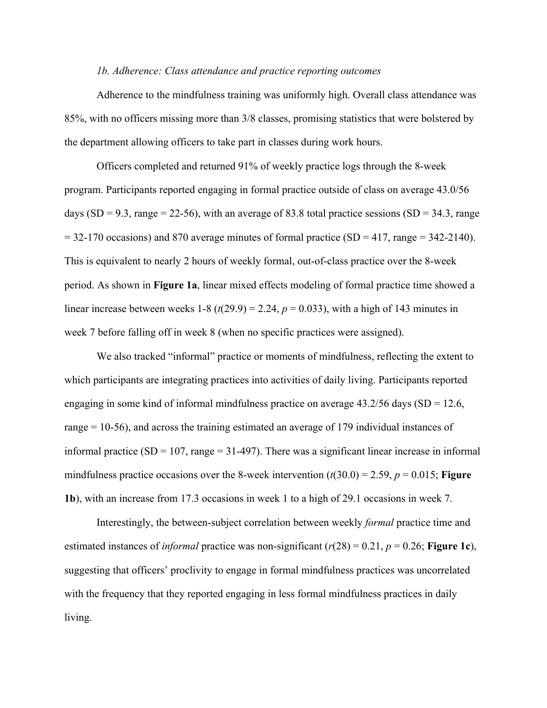#### *1b. Adherence: Class attendance and practice reporting outcomes*

Adherence to the mindfulness training was uniformly high. Overall class attendance was 85%, with no officers missing more than 3/8 classes, promising statistics that were bolstered by the department allowing officers to take part in classes during work hours.

Officers completed and returned 91% of weekly practice logs through the 8-week program. Participants reported engaging in formal practice outside of class on average 43.0/56 days (SD = 9.3, range = 22-56), with an average of 83.8 total practice sessions (SD = 34.3, range  $= 32-170$  occasions) and 870 average minutes of formal practice (SD = 417, range = 342-2140). This is equivalent to nearly 2 hours of weekly formal, out-of-class practice over the 8-week period. As shown in **Figure 1a**, linear mixed effects modeling of formal practice time showed a linear increase between weeks  $1-8$  ( $t(29.9) = 2.24$ ,  $p = 0.033$ ), with a high of 143 minutes in week 7 before falling off in week 8 (when no specific practices were assigned).

We also tracked "informal" practice or moments of mindfulness, reflecting the extent to which participants are integrating practices into activities of daily living. Participants reported engaging in some kind of informal mindfulness practice on average  $43.2/56$  days (SD = 12.6, range = 10-56), and across the training estimated an average of 179 individual instances of informal practice  $(SD = 107, \text{range} = 31-497)$ . There was a significant linear increase in informal mindfulness practice occasions over the 8-week intervention  $(t(30.0) = 2.59, p = 0.015;$  Figure **1b**), with an increase from 17.3 occasions in week 1 to a high of 29.1 occasions in week 7.

Interestingly, the between-subject correlation between weekly *formal* practice time and estimated instances of *informal* practice was non-significant  $(r(28) = 0.21, p = 0.26$ ; Figure 1c), suggesting that officers' proclivity to engage in formal mindfulness practices was uncorrelated with the frequency that they reported engaging in less formal mindfulness practices in daily living.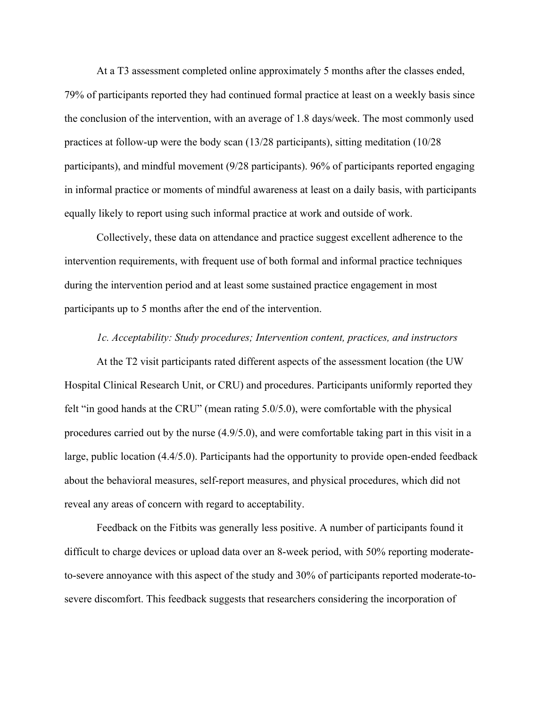At a T3 assessment completed online approximately 5 months after the classes ended, 79% of participants reported they had continued formal practice at least on a weekly basis since the conclusion of the intervention, with an average of 1.8 days/week. The most commonly used practices at follow-up were the body scan (13/28 participants), sitting meditation (10/28 participants), and mindful movement (9/28 participants). 96% of participants reported engaging in informal practice or moments of mindful awareness at least on a daily basis, with participants equally likely to report using such informal practice at work and outside of work.

Collectively, these data on attendance and practice suggest excellent adherence to the intervention requirements, with frequent use of both formal and informal practice techniques during the intervention period and at least some sustained practice engagement in most participants up to 5 months after the end of the intervention.

#### *1c. Acceptability: Study procedures; Intervention content, practices, and instructors*

At the T2 visit participants rated different aspects of the assessment location (the UW Hospital Clinical Research Unit, or CRU) and procedures. Participants uniformly reported they felt "in good hands at the CRU" (mean rating 5.0/5.0), were comfortable with the physical procedures carried out by the nurse (4.9/5.0), and were comfortable taking part in this visit in a large, public location (4.4/5.0). Participants had the opportunity to provide open-ended feedback about the behavioral measures, self-report measures, and physical procedures, which did not reveal any areas of concern with regard to acceptability.

Feedback on the Fitbits was generally less positive. A number of participants found it difficult to charge devices or upload data over an 8-week period, with 50% reporting moderateto-severe annoyance with this aspect of the study and 30% of participants reported moderate-tosevere discomfort. This feedback suggests that researchers considering the incorporation of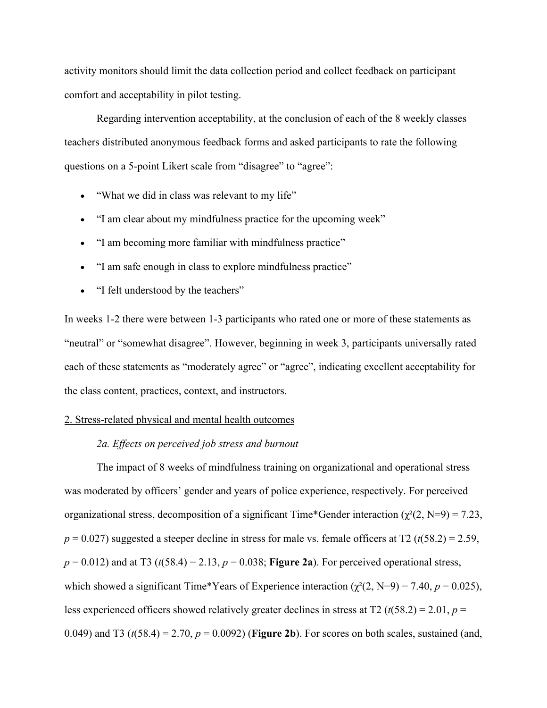activity monitors should limit the data collection period and collect feedback on participant comfort and acceptability in pilot testing.

Regarding intervention acceptability, at the conclusion of each of the 8 weekly classes teachers distributed anonymous feedback forms and asked participants to rate the following questions on a 5-point Likert scale from "disagree" to "agree":

- "What we did in class was relevant to my life"
- "I am clear about my mindfulness practice for the upcoming week"
- "I am becoming more familiar with mindfulness practice"
- "I am safe enough in class to explore mindfulness practice"
- "I felt understood by the teachers"

In weeks 1-2 there were between 1-3 participants who rated one or more of these statements as "neutral" or "somewhat disagree". However, beginning in week 3, participants universally rated each of these statements as "moderately agree" or "agree", indicating excellent acceptability for the class content, practices, context, and instructors.

#### 2. Stress-related physical and mental health outcomes

# *2a. Effects on perceived job stress and burnout*

The impact of 8 weeks of mindfulness training on organizational and operational stress was moderated by officers' gender and years of police experience, respectively. For perceived organizational stress, decomposition of a significant Time\*Gender interaction  $(\chi^2(2, N=9) = 7.23,$  $p = 0.027$ ) suggested a steeper decline in stress for male vs. female officers at T2 ( $t(58.2) = 2.59$ ,  $p = 0.012$ ) and at T3 ( $t(58.4) = 2.13$ ,  $p = 0.038$ ; **Figure 2a**). For perceived operational stress, which showed a significant Time\*Years of Experience interaction  $(\chi^2(2, N=9) = 7.40, p = 0.025)$ , less experienced officers showed relatively greater declines in stress at T2 (*t*(58.2) = 2.01, *p* = 0.049) and T3 ( $t(58.4) = 2.70$ ,  $p = 0.0092$ ) (**Figure 2b**). For scores on both scales, sustained (and,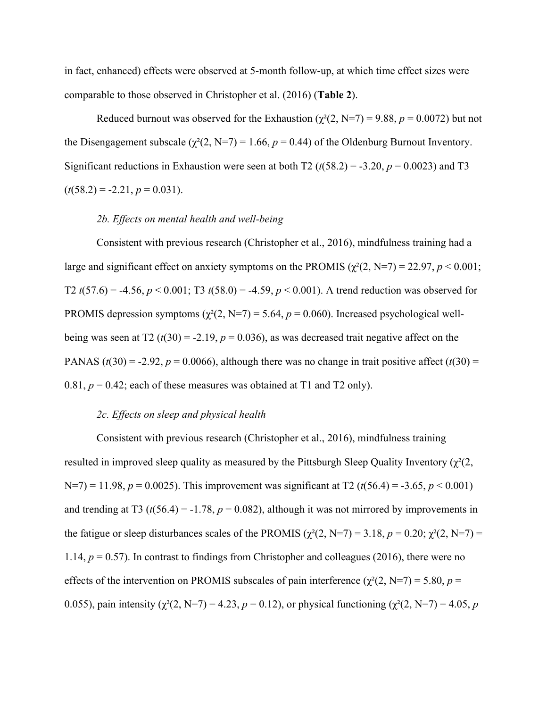in fact, enhanced) effects were observed at 5-month follow-up, at which time effect sizes were comparable to those observed in Christopher et al. (2016) (**Table 2**).

Reduced burnout was observed for the Exhaustion ( $\gamma^2$ (2, N=7) = 9.88, *p* = 0.0072) but not the Disengagement subscale  $(\chi^2(2, N=7) = 1.66, p = 0.44)$  of the Oldenburg Burnout Inventory. Significant reductions in Exhaustion were seen at both T2  $(t(58.2) = -3.20, p = 0.0023)$  and T3  $(t(58.2) = -2.21, p = 0.031).$ 

# *2b. Effects on mental health and well-being*

Consistent with previous research (Christopher et al., 2016), mindfulness training had a large and significant effect on anxiety symptoms on the PROMIS ( $\chi^2(2, N=7) = 22.97$ ,  $p < 0.001$ ; T2  $t(57.6) = -4.56$ ,  $p < 0.001$ ; T3  $t(58.0) = -4.59$ ,  $p < 0.001$ ). A trend reduction was observed for PROMIS depression symptoms  $(\chi^2(2, N=7) = 5.64, p = 0.060)$ . Increased psychological wellbeing was seen at T2 ( $t(30) = -2.19$ ,  $p = 0.036$ ), as was decreased trait negative affect on the PANAS  $(t(30) = -2.92, p = 0.0066)$ , although there was no change in trait positive affect  $(t(30) =$ 0.81,  $p = 0.42$ ; each of these measures was obtained at T1 and T2 only).

#### *2c. Effects on sleep and physical health*

Consistent with previous research (Christopher et al., 2016), mindfulness training resulted in improved sleep quality as measured by the Pittsburgh Sleep Quality Inventory ( $\chi^2(2, \chi^2)$ N=7) = 11.98,  $p = 0.0025$ ). This improvement was significant at T2 ( $t(56.4) = -3.65$ ,  $p < 0.001$ ) and trending at T3 ( $t(56.4) = -1.78$ ,  $p = 0.082$ ), although it was not mirrored by improvements in the fatigue or sleep disturbances scales of the PROMIS ( $\chi^2(2, N=7) = 3.18$ ,  $p = 0.20$ ;  $\chi^2(2, N=7) =$ 1.14, *p* = 0.57). In contrast to findings from Christopher and colleagues (2016), there were no effects of the intervention on PROMIS subscales of pain interference  $(\chi^2(2, N=7) = 5.80, p =$ 0.055), pain intensity ( $\chi^2(2, N=7) = 4.23$ ,  $p = 0.12$ ), or physical functioning ( $\chi^2(2, N=7) = 4.05$ , *p*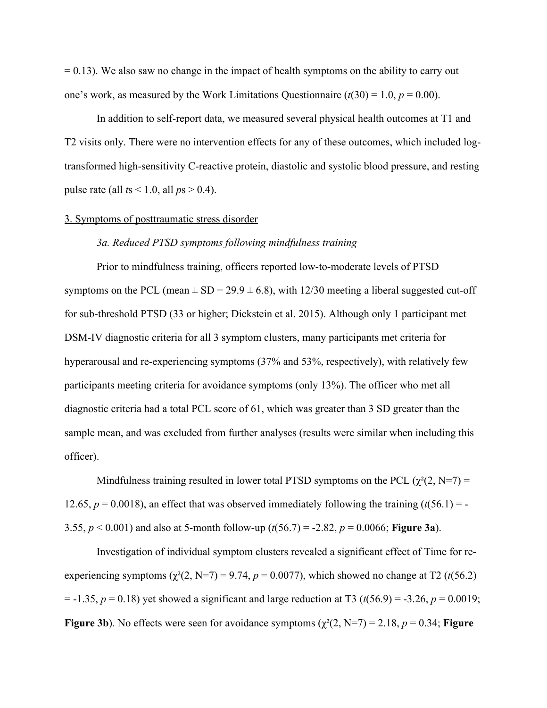$= 0.13$ ). We also saw no change in the impact of health symptoms on the ability to carry out one's work, as measured by the Work Limitations Questionnaire  $(t(30) = 1.0, p = 0.00)$ .

In addition to self-report data, we measured several physical health outcomes at T1 and T2 visits only. There were no intervention effects for any of these outcomes, which included logtransformed high-sensitivity C-reactive protein, diastolic and systolic blood pressure, and resting pulse rate (all *t*s < 1.0, all *p*s > 0.4).

#### 3. Symptoms of posttraumatic stress disorder

#### *3a. Reduced PTSD symptoms following mindfulness training*

Prior to mindfulness training, officers reported low-to-moderate levels of PTSD symptoms on the PCL (mean  $\pm$  SD = 29.9  $\pm$  6.8), with 12/30 meeting a liberal suggested cut-off for sub-threshold PTSD (33 or higher; Dickstein et al. 2015). Although only 1 participant met DSM-IV diagnostic criteria for all 3 symptom clusters, many participants met criteria for hyperarousal and re-experiencing symptoms (37% and 53%, respectively), with relatively few participants meeting criteria for avoidance symptoms (only 13%). The officer who met all diagnostic criteria had a total PCL score of 61, which was greater than 3 SD greater than the sample mean, and was excluded from further analyses (results were similar when including this officer).

Mindfulness training resulted in lower total PTSD symptoms on the PCL  $(\chi^2(2, N=7)$  = 12.65,  $p = 0.0018$ ), an effect that was observed immediately following the training  $(t(56.1) = -1)$ 3.55, *p* < 0.001) and also at 5-month follow-up (*t*(56.7) = -2.82, *p* = 0.0066; **Figure 3a**).

Investigation of individual symptom clusters revealed a significant effect of Time for reexperiencing symptoms  $(\chi^2(2, N=7) = 9.74, p = 0.0077)$ , which showed no change at T2 (*t*(56.2)  $= -1.35, p = 0.18$ ) yet showed a significant and large reduction at T3 ( $t(56.9) = -3.26, p = 0.0019$ ; **Figure 3b**). No effects were seen for avoidance symptoms  $(\chi^2(2, N=7) = 2.18, p = 0.34;$  **Figure**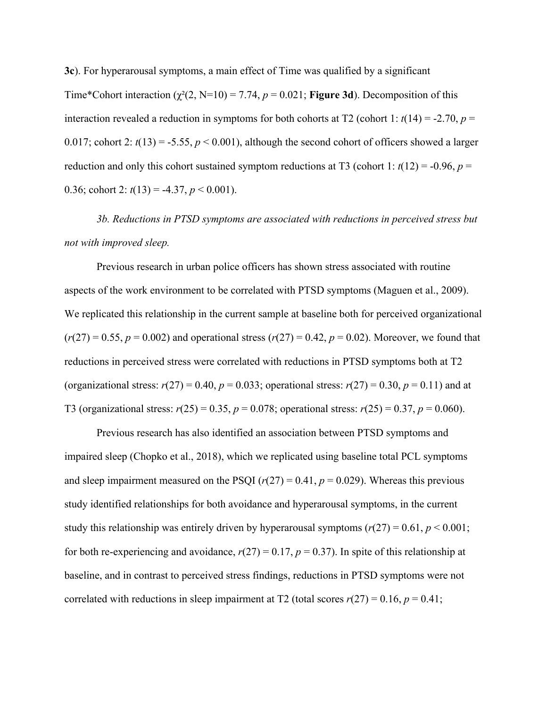**3c**). For hyperarousal symptoms, a main effect of Time was qualified by a significant

Time\*Cohort interaction  $(\chi^2(2, N=10) = 7.74, p = 0.021;$  **Figure 3d**). Decomposition of this interaction revealed a reduction in symptoms for both cohorts at T2 (cohort 1:  $t(14) = -2.70$ ,  $p =$ 0.017; cohort 2:  $t(13) = -5.55$ ,  $p < 0.001$ ), although the second cohort of officers showed a larger reduction and only this cohort sustained symptom reductions at T3 (cohort 1:  $t(12) = -0.96$ ,  $p =$ 0.36; cohort 2:  $t(13) = -4.37$ ,  $p < 0.001$ ).

*3b. Reductions in PTSD symptoms are associated with reductions in perceived stress but not with improved sleep.*

Previous research in urban police officers has shown stress associated with routine aspects of the work environment to be correlated with PTSD symptoms (Maguen et al., 2009). We replicated this relationship in the current sample at baseline both for perceived organizational  $(r(27) = 0.55, p = 0.002)$  and operational stress  $(r(27) = 0.42, p = 0.02)$ . Moreover, we found that reductions in perceived stress were correlated with reductions in PTSD symptoms both at T2 (organizational stress:  $r(27) = 0.40$ ,  $p = 0.033$ ; operational stress:  $r(27) = 0.30$ ,  $p = 0.11$ ) and at T3 (organizational stress:  $r(25) = 0.35$ ,  $p = 0.078$ ; operational stress:  $r(25) = 0.37$ ,  $p = 0.060$ ).

Previous research has also identified an association between PTSD symptoms and impaired sleep (Chopko et al., 2018), which we replicated using baseline total PCL symptoms and sleep impairment measured on the PSQI  $(r(27) = 0.41, p = 0.029)$ . Whereas this previous study identified relationships for both avoidance and hyperarousal symptoms, in the current study this relationship was entirely driven by hyperarousal symptoms  $(r(27) = 0.61, p \le 0.001;$ for both re-experiencing and avoidance,  $r(27) = 0.17$ ,  $p = 0.37$ ). In spite of this relationship at baseline, and in contrast to perceived stress findings, reductions in PTSD symptoms were not correlated with reductions in sleep impairment at T2 (total scores  $r(27) = 0.16$ ,  $p = 0.41$ ;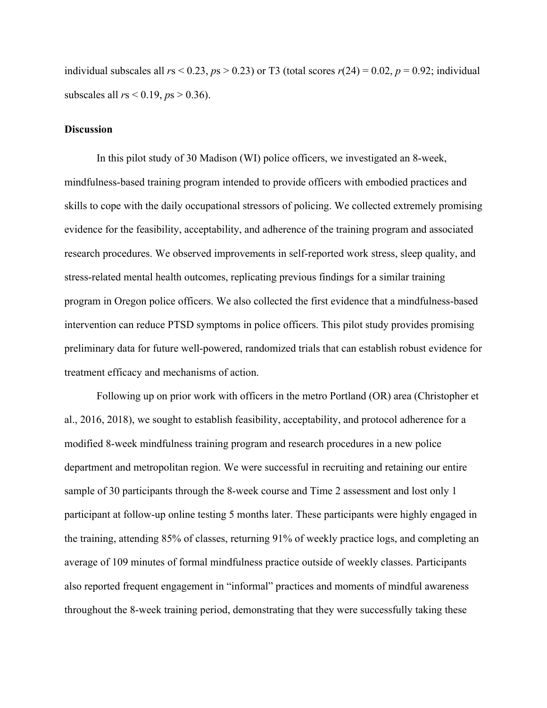individual subscales all  $rs < 0.23$ ,  $ps > 0.23$ ) or T3 (total scores  $r(24) = 0.02$ ,  $p = 0.92$ ; individual subscales all *r*s < 0.19, *p*s > 0.36).

#### **Discussion**

In this pilot study of 30 Madison (WI) police officers, we investigated an 8-week, mindfulness-based training program intended to provide officers with embodied practices and skills to cope with the daily occupational stressors of policing. We collected extremely promising evidence for the feasibility, acceptability, and adherence of the training program and associated research procedures. We observed improvements in self-reported work stress, sleep quality, and stress-related mental health outcomes, replicating previous findings for a similar training program in Oregon police officers. We also collected the first evidence that a mindfulness-based intervention can reduce PTSD symptoms in police officers. This pilot study provides promising preliminary data for future well-powered, randomized trials that can establish robust evidence for treatment efficacy and mechanisms of action.

Following up on prior work with officers in the metro Portland (OR) area (Christopher et al., 2016, 2018), we sought to establish feasibility, acceptability, and protocol adherence for a modified 8-week mindfulness training program and research procedures in a new police department and metropolitan region. We were successful in recruiting and retaining our entire sample of 30 participants through the 8-week course and Time 2 assessment and lost only 1 participant at follow-up online testing 5 months later. These participants were highly engaged in the training, attending 85% of classes, returning 91% of weekly practice logs, and completing an average of 109 minutes of formal mindfulness practice outside of weekly classes. Participants also reported frequent engagement in "informal" practices and moments of mindful awareness throughout the 8-week training period, demonstrating that they were successfully taking these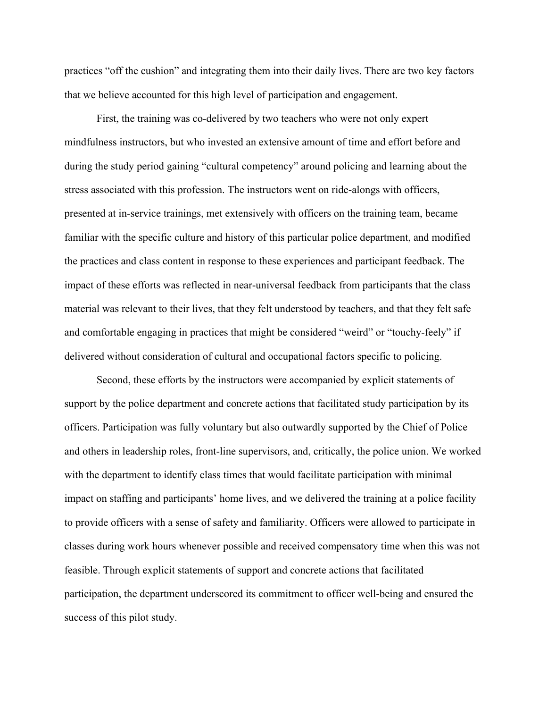practices "off the cushion" and integrating them into their daily lives. There are two key factors that we believe accounted for this high level of participation and engagement.

First, the training was co-delivered by two teachers who were not only expert mindfulness instructors, but who invested an extensive amount of time and effort before and during the study period gaining "cultural competency" around policing and learning about the stress associated with this profession. The instructors went on ride-alongs with officers, presented at in-service trainings, met extensively with officers on the training team, became familiar with the specific culture and history of this particular police department, and modified the practices and class content in response to these experiences and participant feedback. The impact of these efforts was reflected in near-universal feedback from participants that the class material was relevant to their lives, that they felt understood by teachers, and that they felt safe and comfortable engaging in practices that might be considered "weird" or "touchy-feely" if delivered without consideration of cultural and occupational factors specific to policing.

Second, these efforts by the instructors were accompanied by explicit statements of support by the police department and concrete actions that facilitated study participation by its officers. Participation was fully voluntary but also outwardly supported by the Chief of Police and others in leadership roles, front-line supervisors, and, critically, the police union. We worked with the department to identify class times that would facilitate participation with minimal impact on staffing and participants' home lives, and we delivered the training at a police facility to provide officers with a sense of safety and familiarity. Officers were allowed to participate in classes during work hours whenever possible and received compensatory time when this was not feasible. Through explicit statements of support and concrete actions that facilitated participation, the department underscored its commitment to officer well-being and ensured the success of this pilot study.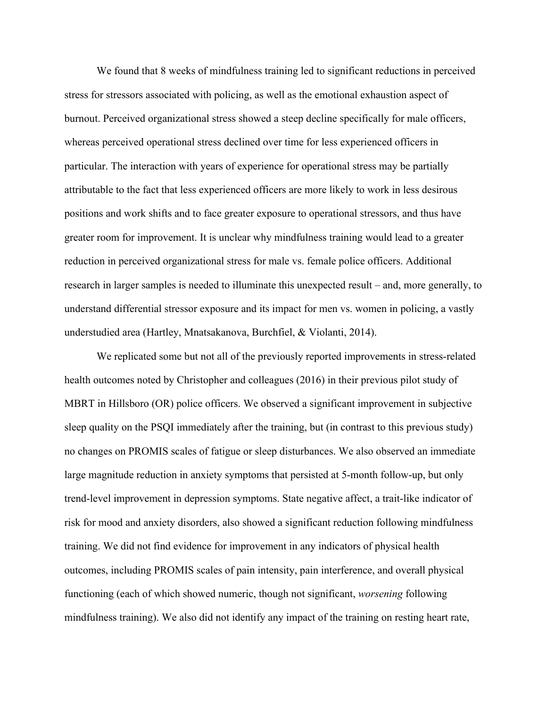We found that 8 weeks of mindfulness training led to significant reductions in perceived stress for stressors associated with policing, as well as the emotional exhaustion aspect of burnout. Perceived organizational stress showed a steep decline specifically for male officers, whereas perceived operational stress declined over time for less experienced officers in particular. The interaction with years of experience for operational stress may be partially attributable to the fact that less experienced officers are more likely to work in less desirous positions and work shifts and to face greater exposure to operational stressors, and thus have greater room for improvement. It is unclear why mindfulness training would lead to a greater reduction in perceived organizational stress for male vs. female police officers. Additional research in larger samples is needed to illuminate this unexpected result – and, more generally, to understand differential stressor exposure and its impact for men vs. women in policing, a vastly understudied area (Hartley, Mnatsakanova, Burchfiel, & Violanti, 2014).

We replicated some but not all of the previously reported improvements in stress-related health outcomes noted by Christopher and colleagues (2016) in their previous pilot study of MBRT in Hillsboro (OR) police officers. We observed a significant improvement in subjective sleep quality on the PSQI immediately after the training, but (in contrast to this previous study) no changes on PROMIS scales of fatigue or sleep disturbances. We also observed an immediate large magnitude reduction in anxiety symptoms that persisted at 5-month follow-up, but only trend-level improvement in depression symptoms. State negative affect, a trait-like indicator of risk for mood and anxiety disorders, also showed a significant reduction following mindfulness training. We did not find evidence for improvement in any indicators of physical health outcomes, including PROMIS scales of pain intensity, pain interference, and overall physical functioning (each of which showed numeric, though not significant, *worsening* following mindfulness training). We also did not identify any impact of the training on resting heart rate,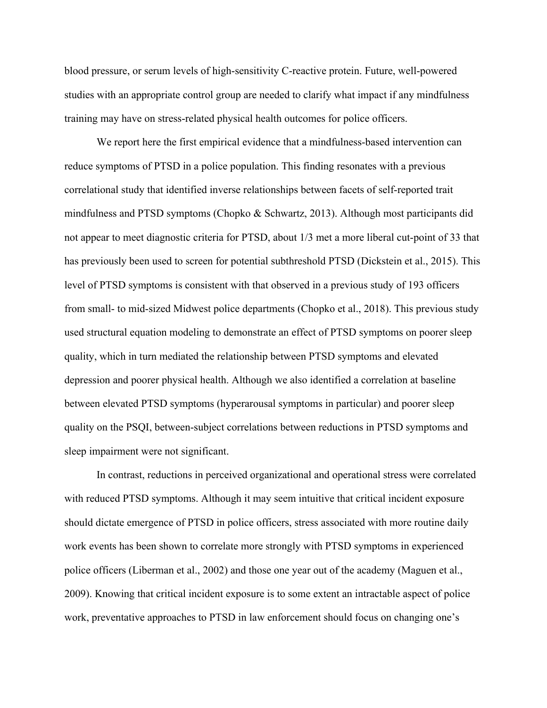blood pressure, or serum levels of high-sensitivity C-reactive protein. Future, well-powered studies with an appropriate control group are needed to clarify what impact if any mindfulness training may have on stress-related physical health outcomes for police officers.

We report here the first empirical evidence that a mindfulness-based intervention can reduce symptoms of PTSD in a police population. This finding resonates with a previous correlational study that identified inverse relationships between facets of self-reported trait mindfulness and PTSD symptoms (Chopko & Schwartz, 2013). Although most participants did not appear to meet diagnostic criteria for PTSD, about 1/3 met a more liberal cut-point of 33 that has previously been used to screen for potential subthreshold PTSD (Dickstein et al., 2015). This level of PTSD symptoms is consistent with that observed in a previous study of 193 officers from small- to mid-sized Midwest police departments (Chopko et al., 2018). This previous study used structural equation modeling to demonstrate an effect of PTSD symptoms on poorer sleep quality, which in turn mediated the relationship between PTSD symptoms and elevated depression and poorer physical health. Although we also identified a correlation at baseline between elevated PTSD symptoms (hyperarousal symptoms in particular) and poorer sleep quality on the PSQI, between-subject correlations between reductions in PTSD symptoms and sleep impairment were not significant.

In contrast, reductions in perceived organizational and operational stress were correlated with reduced PTSD symptoms. Although it may seem intuitive that critical incident exposure should dictate emergence of PTSD in police officers, stress associated with more routine daily work events has been shown to correlate more strongly with PTSD symptoms in experienced police officers (Liberman et al., 2002) and those one year out of the academy (Maguen et al., 2009). Knowing that critical incident exposure is to some extent an intractable aspect of police work, preventative approaches to PTSD in law enforcement should focus on changing one's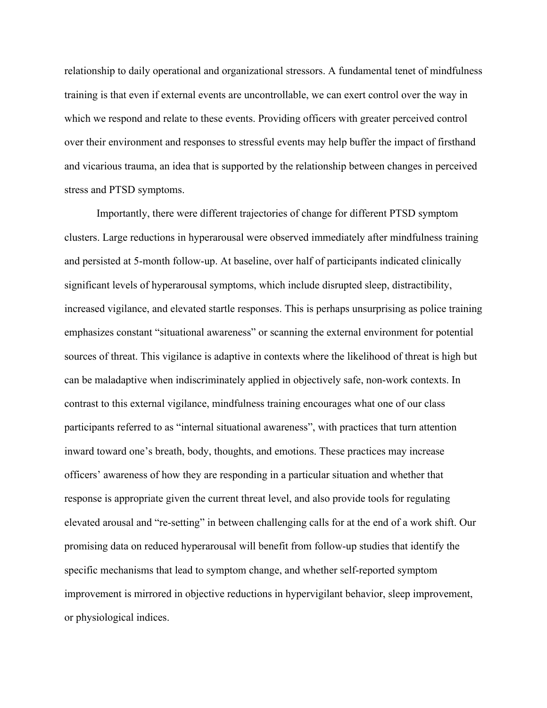relationship to daily operational and organizational stressors. A fundamental tenet of mindfulness training is that even if external events are uncontrollable, we can exert control over the way in which we respond and relate to these events. Providing officers with greater perceived control over their environment and responses to stressful events may help buffer the impact of firsthand and vicarious trauma, an idea that is supported by the relationship between changes in perceived stress and PTSD symptoms.

Importantly, there were different trajectories of change for different PTSD symptom clusters. Large reductions in hyperarousal were observed immediately after mindfulness training and persisted at 5-month follow-up. At baseline, over half of participants indicated clinically significant levels of hyperarousal symptoms, which include disrupted sleep, distractibility, increased vigilance, and elevated startle responses. This is perhaps unsurprising as police training emphasizes constant "situational awareness" or scanning the external environment for potential sources of threat. This vigilance is adaptive in contexts where the likelihood of threat is high but can be maladaptive when indiscriminately applied in objectively safe, non-work contexts. In contrast to this external vigilance, mindfulness training encourages what one of our class participants referred to as "internal situational awareness", with practices that turn attention inward toward one's breath, body, thoughts, and emotions. These practices may increase officers' awareness of how they are responding in a particular situation and whether that response is appropriate given the current threat level, and also provide tools for regulating elevated arousal and "re-setting" in between challenging calls for at the end of a work shift. Our promising data on reduced hyperarousal will benefit from follow-up studies that identify the specific mechanisms that lead to symptom change, and whether self-reported symptom improvement is mirrored in objective reductions in hypervigilant behavior, sleep improvement, or physiological indices.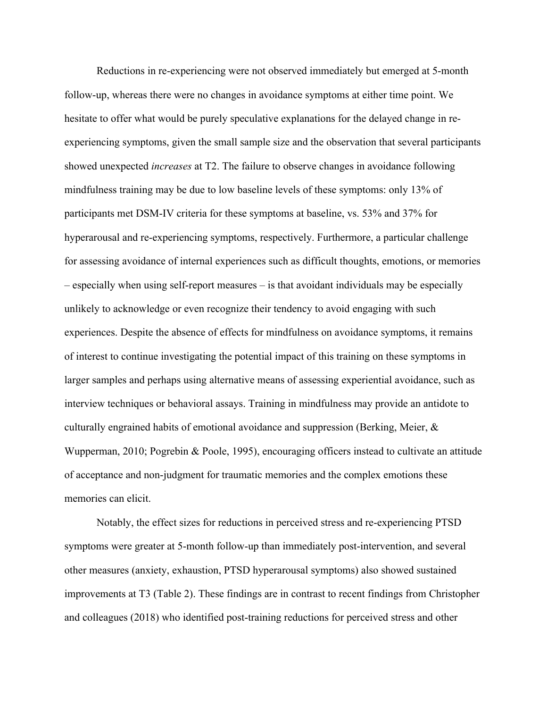Reductions in re-experiencing were not observed immediately but emerged at 5-month follow-up, whereas there were no changes in avoidance symptoms at either time point. We hesitate to offer what would be purely speculative explanations for the delayed change in reexperiencing symptoms, given the small sample size and the observation that several participants showed unexpected *increases* at T2. The failure to observe changes in avoidance following mindfulness training may be due to low baseline levels of these symptoms: only 13% of participants met DSM-IV criteria for these symptoms at baseline, vs. 53% and 37% for hyperarousal and re-experiencing symptoms, respectively. Furthermore, a particular challenge for assessing avoidance of internal experiences such as difficult thoughts, emotions, or memories – especially when using self-report measures – is that avoidant individuals may be especially unlikely to acknowledge or even recognize their tendency to avoid engaging with such experiences. Despite the absence of effects for mindfulness on avoidance symptoms, it remains of interest to continue investigating the potential impact of this training on these symptoms in larger samples and perhaps using alternative means of assessing experiential avoidance, such as interview techniques or behavioral assays. Training in mindfulness may provide an antidote to culturally engrained habits of emotional avoidance and suppression (Berking, Meier, & Wupperman, 2010; Pogrebin & Poole, 1995), encouraging officers instead to cultivate an attitude of acceptance and non-judgment for traumatic memories and the complex emotions these memories can elicit.

Notably, the effect sizes for reductions in perceived stress and re-experiencing PTSD symptoms were greater at 5-month follow-up than immediately post-intervention, and several other measures (anxiety, exhaustion, PTSD hyperarousal symptoms) also showed sustained improvements at T3 (Table 2). These findings are in contrast to recent findings from Christopher and colleagues (2018) who identified post-training reductions for perceived stress and other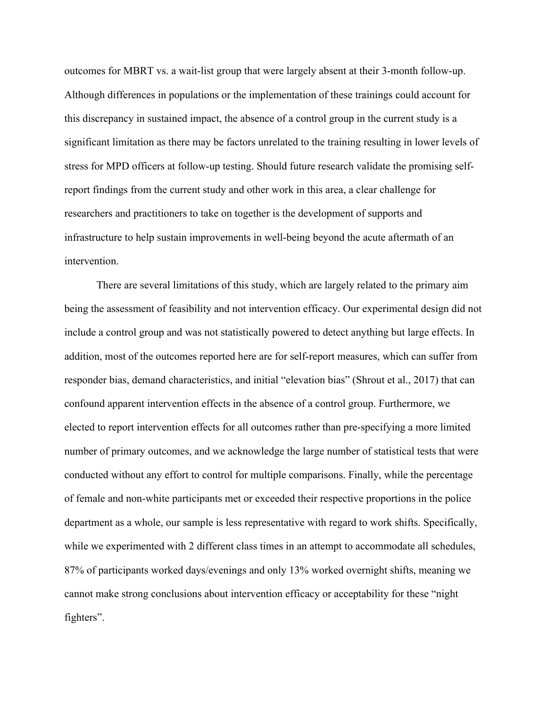outcomes for MBRT vs. a wait-list group that were largely absent at their 3-month follow-up. Although differences in populations or the implementation of these trainings could account for this discrepancy in sustained impact, the absence of a control group in the current study is a significant limitation as there may be factors unrelated to the training resulting in lower levels of stress for MPD officers at follow-up testing. Should future research validate the promising selfreport findings from the current study and other work in this area, a clear challenge for researchers and practitioners to take on together is the development of supports and infrastructure to help sustain improvements in well-being beyond the acute aftermath of an intervention.

There are several limitations of this study, which are largely related to the primary aim being the assessment of feasibility and not intervention efficacy. Our experimental design did not include a control group and was not statistically powered to detect anything but large effects. In addition, most of the outcomes reported here are for self-report measures, which can suffer from responder bias, demand characteristics, and initial "elevation bias" (Shrout et al., 2017) that can confound apparent intervention effects in the absence of a control group. Furthermore, we elected to report intervention effects for all outcomes rather than pre-specifying a more limited number of primary outcomes, and we acknowledge the large number of statistical tests that were conducted without any effort to control for multiple comparisons. Finally, while the percentage of female and non-white participants met or exceeded their respective proportions in the police department as a whole, our sample is less representative with regard to work shifts. Specifically, while we experimented with 2 different class times in an attempt to accommodate all schedules, 87% of participants worked days/evenings and only 13% worked overnight shifts, meaning we cannot make strong conclusions about intervention efficacy or acceptability for these "night fighters".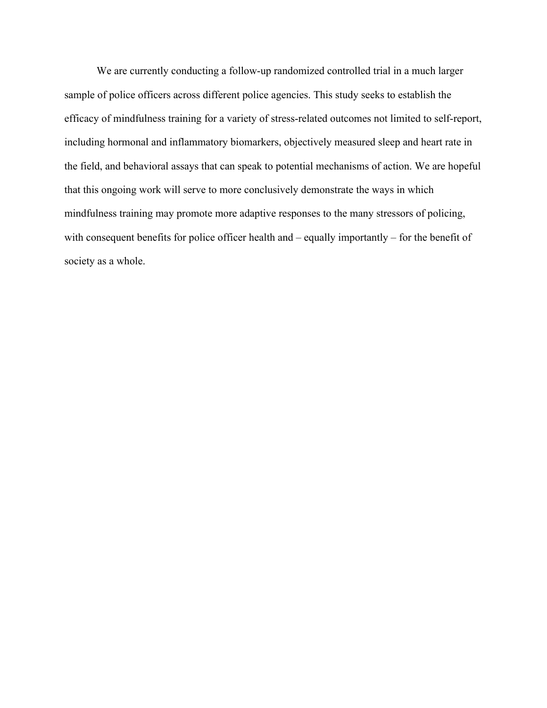We are currently conducting a follow-up randomized controlled trial in a much larger sample of police officers across different police agencies. This study seeks to establish the efficacy of mindfulness training for a variety of stress-related outcomes not limited to self-report, including hormonal and inflammatory biomarkers, objectively measured sleep and heart rate in the field, and behavioral assays that can speak to potential mechanisms of action. We are hopeful that this ongoing work will serve to more conclusively demonstrate the ways in which mindfulness training may promote more adaptive responses to the many stressors of policing, with consequent benefits for police officer health and – equally importantly – for the benefit of society as a whole.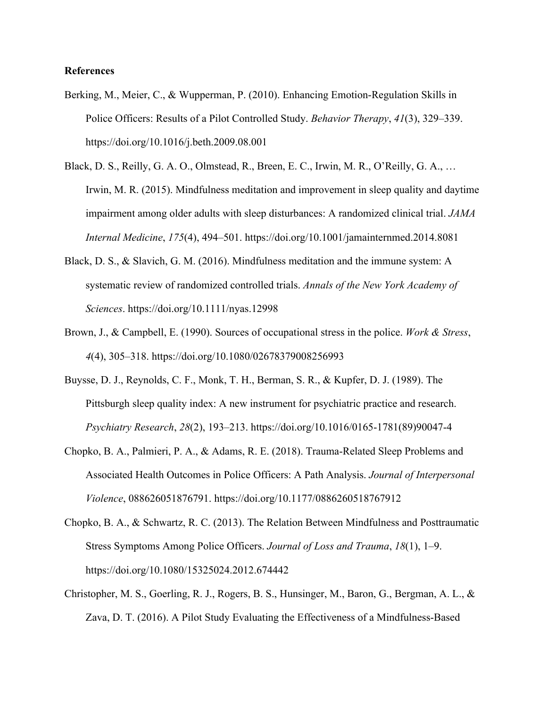# **References**

- Berking, M., Meier, C., & Wupperman, P. (2010). Enhancing Emotion-Regulation Skills in Police Officers: Results of a Pilot Controlled Study. *Behavior Therapy*, *41*(3), 329–339. https://doi.org/10.1016/j.beth.2009.08.001
- Black, D. S., Reilly, G. A. O., Olmstead, R., Breen, E. C., Irwin, M. R., O'Reilly, G. A., … Irwin, M. R. (2015). Mindfulness meditation and improvement in sleep quality and daytime impairment among older adults with sleep disturbances: A randomized clinical trial. *JAMA Internal Medicine*, *175*(4), 494–501. https://doi.org/10.1001/jamainternmed.2014.8081
- Black, D. S., & Slavich, G. M. (2016). Mindfulness meditation and the immune system: A systematic review of randomized controlled trials. *Annals of the New York Academy of Sciences*. https://doi.org/10.1111/nyas.12998
- Brown, J., & Campbell, E. (1990). Sources of occupational stress in the police. *Work & Stress*, *4*(4), 305–318. https://doi.org/10.1080/02678379008256993
- Buysse, D. J., Reynolds, C. F., Monk, T. H., Berman, S. R., & Kupfer, D. J. (1989). The Pittsburgh sleep quality index: A new instrument for psychiatric practice and research. *Psychiatry Research*, *28*(2), 193–213. https://doi.org/10.1016/0165-1781(89)90047-4
- Chopko, B. A., Palmieri, P. A., & Adams, R. E. (2018). Trauma-Related Sleep Problems and Associated Health Outcomes in Police Officers: A Path Analysis. *Journal of Interpersonal Violence*, 088626051876791. https://doi.org/10.1177/0886260518767912
- Chopko, B. A., & Schwartz, R. C. (2013). The Relation Between Mindfulness and Posttraumatic Stress Symptoms Among Police Officers. *Journal of Loss and Trauma*, *18*(1), 1–9. https://doi.org/10.1080/15325024.2012.674442
- Christopher, M. S., Goerling, R. J., Rogers, B. S., Hunsinger, M., Baron, G., Bergman, A. L., & Zava, D. T. (2016). A Pilot Study Evaluating the Effectiveness of a Mindfulness-Based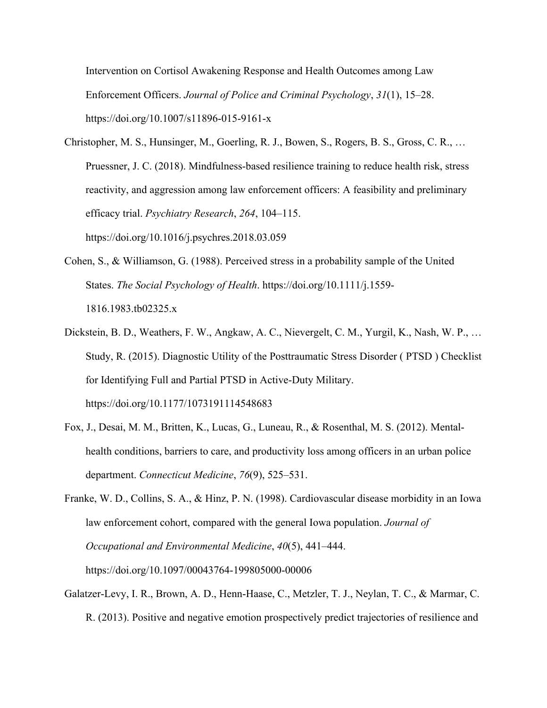Intervention on Cortisol Awakening Response and Health Outcomes among Law Enforcement Officers. *Journal of Police and Criminal Psychology*, *31*(1), 15–28. https://doi.org/10.1007/s11896-015-9161-x

- Christopher, M. S., Hunsinger, M., Goerling, R. J., Bowen, S., Rogers, B. S., Gross, C. R., … Pruessner, J. C. (2018). Mindfulness-based resilience training to reduce health risk, stress reactivity, and aggression among law enforcement officers: A feasibility and preliminary efficacy trial. *Psychiatry Research*, *264*, 104–115. https://doi.org/10.1016/j.psychres.2018.03.059
- Cohen, S., & Williamson, G. (1988). Perceived stress in a probability sample of the United States. *The Social Psychology of Health*. https://doi.org/10.1111/j.1559- 1816.1983.tb02325.x
- Dickstein, B. D., Weathers, F. W., Angkaw, A. C., Nievergelt, C. M., Yurgil, K., Nash, W. P., … Study, R. (2015). Diagnostic Utility of the Posttraumatic Stress Disorder ( PTSD ) Checklist for Identifying Full and Partial PTSD in Active-Duty Military. https://doi.org/10.1177/1073191114548683
- Fox, J., Desai, M. M., Britten, K., Lucas, G., Luneau, R., & Rosenthal, M. S. (2012). Mentalhealth conditions, barriers to care, and productivity loss among officers in an urban police department. *Connecticut Medicine*, *76*(9), 525–531.

Franke, W. D., Collins, S. A., & Hinz, P. N. (1998). Cardiovascular disease morbidity in an Iowa law enforcement cohort, compared with the general Iowa population. *Journal of Occupational and Environmental Medicine*, *40*(5), 441–444. https://doi.org/10.1097/00043764-199805000-00006

Galatzer-Levy, I. R., Brown, A. D., Henn-Haase, C., Metzler, T. J., Neylan, T. C., & Marmar, C. R. (2013). Positive and negative emotion prospectively predict trajectories of resilience and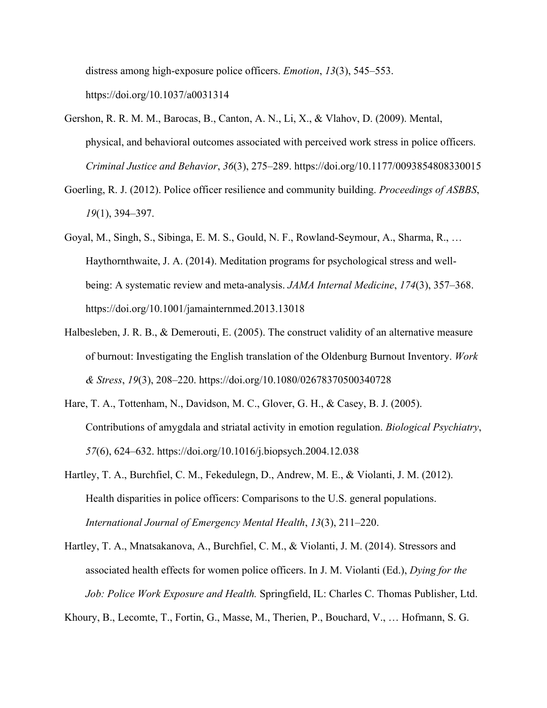distress among high-exposure police officers. *Emotion*, *13*(3), 545–553.

https://doi.org/10.1037/a0031314

- Gershon, R. R. M. M., Barocas, B., Canton, A. N., Li, X., & Vlahov, D. (2009). Mental, physical, and behavioral outcomes associated with perceived work stress in police officers. *Criminal Justice and Behavior*, *36*(3), 275–289. https://doi.org/10.1177/0093854808330015
- Goerling, R. J. (2012). Police officer resilience and community building. *Proceedings of ASBBS*, *19*(1), 394–397.
- Goyal, M., Singh, S., Sibinga, E. M. S., Gould, N. F., Rowland-Seymour, A., Sharma, R., … Haythornthwaite, J. A. (2014). Meditation programs for psychological stress and wellbeing: A systematic review and meta-analysis. *JAMA Internal Medicine*, *174*(3), 357–368. https://doi.org/10.1001/jamainternmed.2013.13018
- Halbesleben, J. R. B., & Demerouti, E. (2005). The construct validity of an alternative measure of burnout: Investigating the English translation of the Oldenburg Burnout Inventory. *Work & Stress*, *19*(3), 208–220. https://doi.org/10.1080/02678370500340728
- Hare, T. A., Tottenham, N., Davidson, M. C., Glover, G. H., & Casey, B. J. (2005). Contributions of amygdala and striatal activity in emotion regulation. *Biological Psychiatry*, *57*(6), 624–632. https://doi.org/10.1016/j.biopsych.2004.12.038
- Hartley, T. A., Burchfiel, C. M., Fekedulegn, D., Andrew, M. E., & Violanti, J. M. (2012). Health disparities in police officers: Comparisons to the U.S. general populations. *International Journal of Emergency Mental Health*, *13*(3), 211–220.
- Hartley, T. A., Mnatsakanova, A., Burchfiel, C. M., & Violanti, J. M. (2014). Stressors and associated health effects for women police officers. In J. M. Violanti (Ed.), *Dying for the Job: Police Work Exposure and Health.* Springfield, IL: Charles C. Thomas Publisher, Ltd.

Khoury, B., Lecomte, T., Fortin, G., Masse, M., Therien, P., Bouchard, V., … Hofmann, S. G.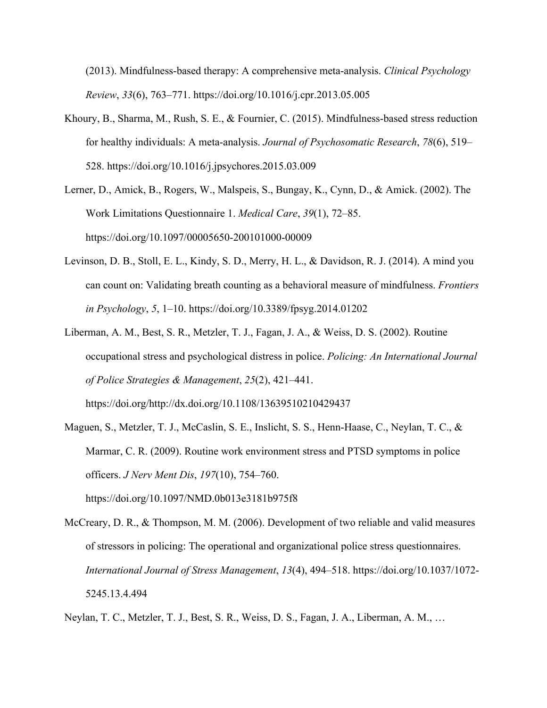(2013). Mindfulness-based therapy: A comprehensive meta-analysis. *Clinical Psychology Review*, *33*(6), 763–771. https://doi.org/10.1016/j.cpr.2013.05.005

- Khoury, B., Sharma, M., Rush, S. E., & Fournier, C. (2015). Mindfulness-based stress reduction for healthy individuals: A meta-analysis. *Journal of Psychosomatic Research*, *78*(6), 519– 528. https://doi.org/10.1016/j.jpsychores.2015.03.009
- Lerner, D., Amick, B., Rogers, W., Malspeis, S., Bungay, K., Cynn, D., & Amick. (2002). The Work Limitations Questionnaire 1. *Medical Care*, *39*(1), 72–85. https://doi.org/10.1097/00005650-200101000-00009
- Levinson, D. B., Stoll, E. L., Kindy, S. D., Merry, H. L., & Davidson, R. J. (2014). A mind you can count on: Validating breath counting as a behavioral measure of mindfulness. *Frontiers in Psychology*, *5*, 1–10. https://doi.org/10.3389/fpsyg.2014.01202
- Liberman, A. M., Best, S. R., Metzler, T. J., Fagan, J. A., & Weiss, D. S. (2002). Routine occupational stress and psychological distress in police. *Policing: An International Journal of Police Strategies & Management*, *25*(2), 421–441. https://doi.org/http://dx.doi.org/10.1108/13639510210429437
- Maguen, S., Metzler, T. J., McCaslin, S. E., Inslicht, S. S., Henn-Haase, C., Neylan, T. C., & Marmar, C. R. (2009). Routine work environment stress and PTSD symptoms in police officers. *J Nerv Ment Dis*, *197*(10), 754–760. https://doi.org/10.1097/NMD.0b013e3181b975f8
- McCreary, D. R., & Thompson, M. M. (2006). Development of two reliable and valid measures of stressors in policing: The operational and organizational police stress questionnaires. *International Journal of Stress Management*, *13*(4), 494–518. https://doi.org/10.1037/1072- 5245.13.4.494
- Neylan, T. C., Metzler, T. J., Best, S. R., Weiss, D. S., Fagan, J. A., Liberman, A. M., …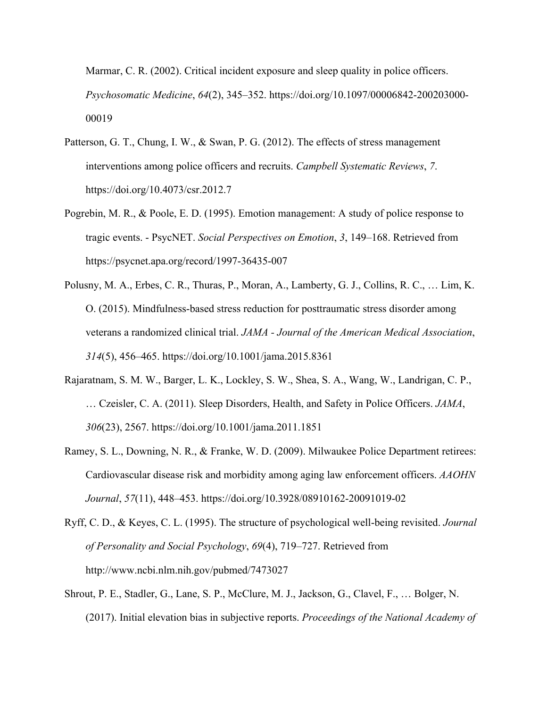Marmar, C. R. (2002). Critical incident exposure and sleep quality in police officers. *Psychosomatic Medicine*, *64*(2), 345–352. https://doi.org/10.1097/00006842-200203000- 00019

- Patterson, G. T., Chung, I. W., & Swan, P. G. (2012). The effects of stress management interventions among police officers and recruits. *Campbell Systematic Reviews*, *7*. https://doi.org/10.4073/csr.2012.7
- Pogrebin, M. R., & Poole, E. D. (1995). Emotion management: A study of police response to tragic events. - PsycNET. *Social Perspectives on Emotion*, *3*, 149–168. Retrieved from https://psycnet.apa.org/record/1997-36435-007
- Polusny, M. A., Erbes, C. R., Thuras, P., Moran, A., Lamberty, G. J., Collins, R. C., … Lim, K. O. (2015). Mindfulness-based stress reduction for posttraumatic stress disorder among veterans a randomized clinical trial. *JAMA - Journal of the American Medical Association*, *314*(5), 456–465. https://doi.org/10.1001/jama.2015.8361
- Rajaratnam, S. M. W., Barger, L. K., Lockley, S. W., Shea, S. A., Wang, W., Landrigan, C. P., … Czeisler, C. A. (2011). Sleep Disorders, Health, and Safety in Police Officers. *JAMA*, *306*(23), 2567. https://doi.org/10.1001/jama.2011.1851
- Ramey, S. L., Downing, N. R., & Franke, W. D. (2009). Milwaukee Police Department retirees: Cardiovascular disease risk and morbidity among aging law enforcement officers. *AAOHN Journal*, *57*(11), 448–453. https://doi.org/10.3928/08910162-20091019-02
- Ryff, C. D., & Keyes, C. L. (1995). The structure of psychological well-being revisited. *Journal of Personality and Social Psychology*, *69*(4), 719–727. Retrieved from http://www.ncbi.nlm.nih.gov/pubmed/7473027
- Shrout, P. E., Stadler, G., Lane, S. P., McClure, M. J., Jackson, G., Clavel, F., … Bolger, N. (2017). Initial elevation bias in subjective reports. *Proceedings of the National Academy of*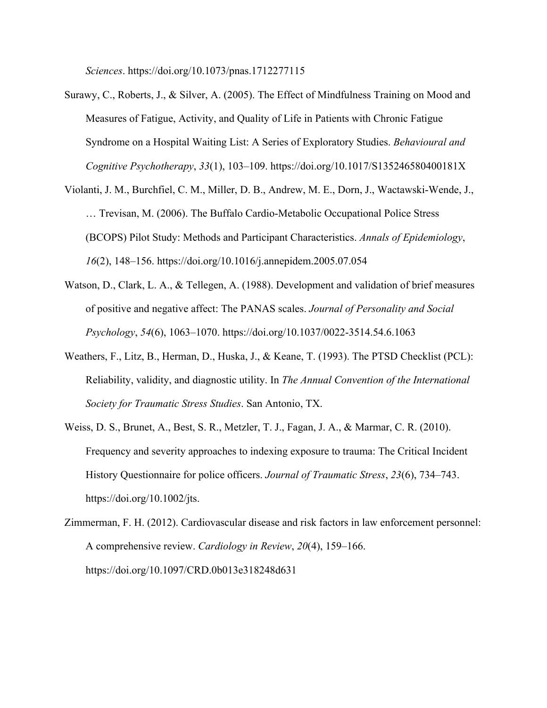*Sciences*. https://doi.org/10.1073/pnas.1712277115

- Surawy, C., Roberts, J., & Silver, A. (2005). The Effect of Mindfulness Training on Mood and Measures of Fatigue, Activity, and Quality of Life in Patients with Chronic Fatigue Syndrome on a Hospital Waiting List: A Series of Exploratory Studies. *Behavioural and Cognitive Psychotherapy*, *33*(1), 103–109. https://doi.org/10.1017/S135246580400181X
- Violanti, J. M., Burchfiel, C. M., Miller, D. B., Andrew, M. E., Dorn, J., Wactawski-Wende, J., … Trevisan, M. (2006). The Buffalo Cardio-Metabolic Occupational Police Stress (BCOPS) Pilot Study: Methods and Participant Characteristics. *Annals of Epidemiology*, *16*(2), 148–156. https://doi.org/10.1016/j.annepidem.2005.07.054
- Watson, D., Clark, L. A., & Tellegen, A. (1988). Development and validation of brief measures of positive and negative affect: The PANAS scales. *Journal of Personality and Social Psychology*, *54*(6), 1063–1070. https://doi.org/10.1037/0022-3514.54.6.1063
- Weathers, F., Litz, B., Herman, D., Huska, J., & Keane, T. (1993). The PTSD Checklist (PCL): Reliability, validity, and diagnostic utility. In *The Annual Convention of the International Society for Traumatic Stress Studies*. San Antonio, TX.
- Weiss, D. S., Brunet, A., Best, S. R., Metzler, T. J., Fagan, J. A., & Marmar, C. R. (2010). Frequency and severity approaches to indexing exposure to trauma: The Critical Incident History Questionnaire for police officers. *Journal of Traumatic Stress*, *23*(6), 734–743. https://doi.org/10.1002/jts.
- Zimmerman, F. H. (2012). Cardiovascular disease and risk factors in law enforcement personnel: A comprehensive review. *Cardiology in Review*, *20*(4), 159–166. https://doi.org/10.1097/CRD.0b013e318248d631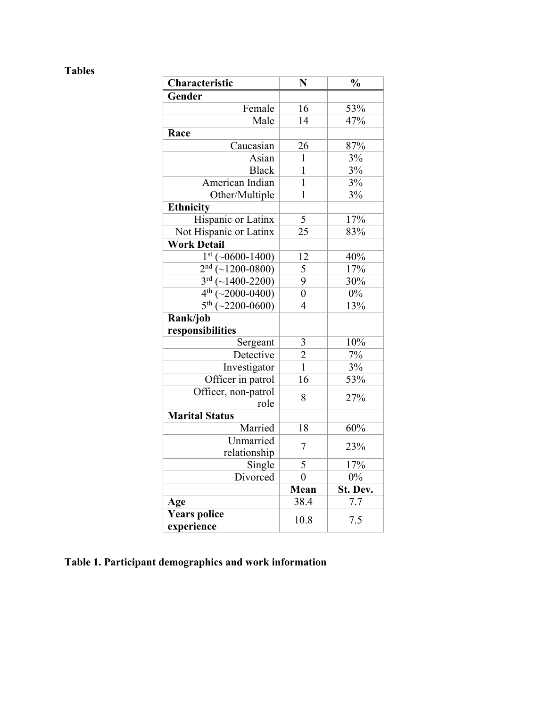# **Tables**

| Characteristic                    | N               | $\frac{0}{0}$ |  |  |  |  |  |  |  |
|-----------------------------------|-----------------|---------------|--|--|--|--|--|--|--|
| Gender                            |                 |               |  |  |  |  |  |  |  |
| Female                            | 16              | 53%           |  |  |  |  |  |  |  |
| Male                              | $\overline{14}$ | 47%           |  |  |  |  |  |  |  |
| Race                              |                 |               |  |  |  |  |  |  |  |
| Caucasian                         | 26              | 87%           |  |  |  |  |  |  |  |
| Asian                             | 1               | 3%            |  |  |  |  |  |  |  |
| <b>Black</b>                      | $\mathbf{1}$    | 3%            |  |  |  |  |  |  |  |
| American Indian                   | 1               | 3%            |  |  |  |  |  |  |  |
| Other/Multiple                    | 1               | 3%            |  |  |  |  |  |  |  |
| <b>Ethnicity</b>                  |                 |               |  |  |  |  |  |  |  |
| Hispanic or Latinx                | 5               | 17%           |  |  |  |  |  |  |  |
| Not Hispanic or Latinx            | $\overline{25}$ | 83%           |  |  |  |  |  |  |  |
| <b>Work Detail</b>                |                 |               |  |  |  |  |  |  |  |
| $1st$ (~0600-1400)                | 12              | 40%           |  |  |  |  |  |  |  |
| $2nd$ (~1200-0800)                | $\overline{5}$  | 17%           |  |  |  |  |  |  |  |
| $3rd$ (~1400-2200)                | 9               | 30%           |  |  |  |  |  |  |  |
| $4^{th}$ (~2000-0400)             | $\overline{0}$  | $0\%$         |  |  |  |  |  |  |  |
| $5th$ (~2200-0600)                | 4               | 13%           |  |  |  |  |  |  |  |
| Rank/job                          |                 |               |  |  |  |  |  |  |  |
| responsibilities                  |                 |               |  |  |  |  |  |  |  |
| Sergeant                          | 3               | 10%           |  |  |  |  |  |  |  |
| Detective                         | $\overline{c}$  | 7%            |  |  |  |  |  |  |  |
| Investigator                      | $\overline{1}$  | 3%            |  |  |  |  |  |  |  |
| Officer in patrol                 | $\overline{16}$ | 53%           |  |  |  |  |  |  |  |
| Officer, non-patrol               | 8               | 27%           |  |  |  |  |  |  |  |
| role<br><b>Marital Status</b>     |                 |               |  |  |  |  |  |  |  |
| Married                           | 18              | 60%           |  |  |  |  |  |  |  |
| Unmarried                         |                 |               |  |  |  |  |  |  |  |
| relationship                      | 7               | 23%           |  |  |  |  |  |  |  |
| Single                            | 5               | 17%           |  |  |  |  |  |  |  |
| Divorced                          | $\overline{0}$  | $0\%$         |  |  |  |  |  |  |  |
|                                   | <b>Mean</b>     | St. Dev.      |  |  |  |  |  |  |  |
| Age                               | 38.4            | 7.7           |  |  |  |  |  |  |  |
| <b>Years police</b><br>experience | 10.8            | 7.5           |  |  |  |  |  |  |  |
|                                   |                 |               |  |  |  |  |  |  |  |

**Table 1. Participant demographics and work information**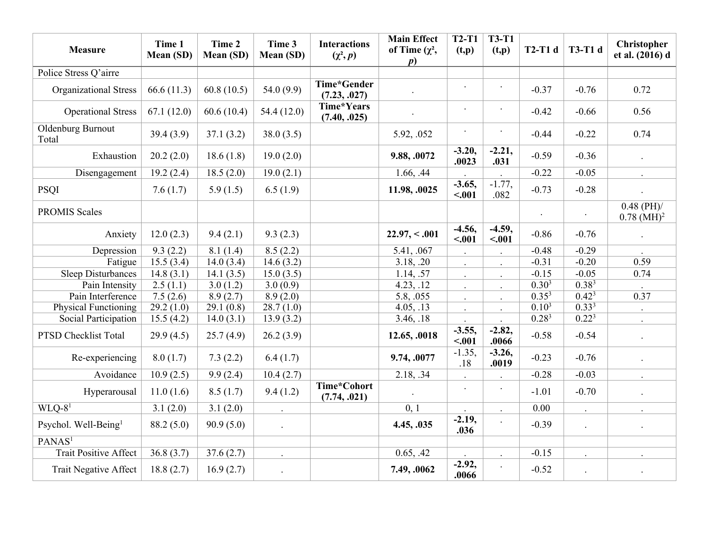| <b>Measure</b>                    | Time 1<br>Mean (SD) | Time 2<br>Mean (SD) | Time 3<br>Mean (SD)  | <b>Interactions</b><br>$(\chi^2, p)$ | <b>Main Effect</b><br>of Time $(\chi^2,$<br>$\boldsymbol{p}$ | <b>T2-T1</b><br>(t,p) | <b>T3-T1</b><br>(t,p) | $T2-T1d$   | T3-T1 d              | <b>Christopher</b><br>et al. $(2016)$ d |
|-----------------------------------|---------------------|---------------------|----------------------|--------------------------------------|--------------------------------------------------------------|-----------------------|-----------------------|------------|----------------------|-----------------------------------------|
| Police Stress Q'airre             |                     |                     |                      |                                      |                                                              |                       |                       |            |                      |                                         |
| <b>Organizational Stress</b>      | 66.6(11.3)          | 60.8(10.5)          | 54.0 (9.9)           | Time*Gender<br>(7.23, .027)          |                                                              | $\bullet$             | $\bullet$             | $-0.37$    | $-0.76$              | 0.72                                    |
| <b>Operational Stress</b>         | 67.1(12.0)          | 60.6(10.4)          | 54.4 (12.0)          | Time*Years<br>(7.40, .025)           | $\bullet$                                                    | $\bullet$             | $\ddot{\phantom{0}}$  | $-0.42$    | $-0.66$              | 0.56                                    |
| <b>Oldenburg Burnout</b><br>Total | 39.4(3.9)           | 37.1(3.2)           | 38.0(3.5)            |                                      | 5.92, .052                                                   | $\bullet$             | $\bullet$             | $-0.44$    | $-0.22$              | 0.74                                    |
| Exhaustion                        | 20.2(2.0)           | 18.6(1.8)           | 19.0(2.0)            |                                      | 9.88, .0072                                                  | $-3.20,$<br>.0023     | $-2.21,$<br>.031      | $-0.59$    | $-0.36$              | $\bullet$                               |
| Disengagement                     | 19.2(2.4)           | 18.5(2.0)           | 19.0(2.1)            |                                      | 1.66, .44                                                    |                       | $\ddot{\phantom{a}}$  | $-0.22$    | $-0.05$              | $\ddot{\phantom{0}}$                    |
| <b>PSQI</b>                       | 7.6(1.7)            | 5.9(1.5)            | 6.5(1.9)             |                                      | 11.98, .0025                                                 | $-3.65,$<br>< .001    | $-1.77,$<br>.082      | $-0.73$    | $-0.28$              | $\bullet$                               |
| <b>PROMIS Scales</b>              |                     |                     |                      |                                      |                                                              |                       |                       |            | $\ddot{\phantom{0}}$ | $0.48$ (PH)/<br>$0.78~(MH)^2$           |
| Anxiety                           | 12.0(2.3)           | 9.4(2.1)            | 9.3(2.3)             |                                      | 22.97,<.001                                                  | $-4.56,$<br>$-.001$   | $-4.59,$<br>< .001    | $-0.86$    | $-0.76$              |                                         |
| Depression                        | 9.3(2.2)            | 8.1(1.4)            | 8.5(2.2)             |                                      | 5.41, .067                                                   | $\ddot{\phantom{a}}$  | $\ddot{\phantom{a}}$  | $-0.48$    | $-0.29$              |                                         |
| Fatigue                           | 15.5(3.4)           | 14.0(3.4)           | 14.6(3.2)            |                                      | 3.18, .20                                                    | $\ddot{\phantom{0}}$  | $\ddot{\phantom{0}}$  | $-0.31$    | $-0.20$              | 0.59                                    |
| <b>Sleep Disturbances</b>         | 14.8(3.1)           | 14.1(3.5)           | 15.0(3.5)            |                                      | 1.14, .57                                                    | $\ddot{\phantom{a}}$  | $\bullet$             | $-0.15$    | $-0.05$              | 0.74                                    |
| Pain Intensity                    | 2.5(1.1)            | 3.0(1.2)            | 3.0(0.9)             |                                      | 4.23, .12                                                    | $\ddot{\phantom{a}}$  | $\ddot{\phantom{a}}$  | $0.30^{3}$ | $0.38^{3}$           |                                         |
| Pain Interference                 | 7.5(2.6)            | 8.9(2.7)            | 8.9(2.0)             |                                      | 5.8, .055                                                    | $\ddot{\phantom{0}}$  | $\ddot{\phantom{0}}$  | $0.35^{3}$ | $0.42^{3}$           | 0.37                                    |
| <b>Physical Functioning</b>       | 29.2(1.0)           | 29.1(0.8)           | 28.7(1.0)            |                                      | 4.05, .13                                                    | $\ddot{\phantom{a}}$  | $\ddot{\phantom{a}}$  | $0.10^{3}$ | $\overline{0.33^3}$  | $\ddot{\phantom{0}}$                    |
| Social Participation              | 15.5(4.2)           | 14.0(3.1)           | 13.9(3.2)            |                                      | 3.46, .18                                                    |                       |                       | $0.28^{3}$ | $0.22^{3}$           |                                         |
| PTSD Checklist Total              | 29.9(4.5)           | 25.7(4.9)           | 26.2(3.9)            |                                      | 12.65, .0018                                                 | $-3.55,$<br>< .001    | $-2.82,$<br>.0066     | $-0.58$    | $-0.54$              | $\bullet$                               |
| Re-experiencing                   | 8.0(1.7)            | 7.3(2.2)            | 6.4(1.7)             |                                      | 9.74, .0077                                                  | $-1.35,$<br>.18       | $-3.26,$<br>.0019     | $-0.23$    | $-0.76$              | $\cdot$                                 |
| Avoidance                         | 10.9(2.5)           | 9.9(2.4)            | 10.4(2.7)            |                                      | 2.18, .34                                                    | $\ddot{\phantom{0}}$  |                       | $-0.28$    | $-0.03$              |                                         |
| Hyperarousal                      | 11.0(1.6)           | 8.5(1.7)            | 9.4(1.2)             | Time*Cohort<br>(7.74, .021)          |                                                              | $\ddot{\phantom{a}}$  | $\bullet$             | $-1.01$    | $-0.70$              |                                         |
| $WLO-81$                          | 3.1(2.0)            | 3.1(2.0)            |                      |                                      | 0, 1                                                         |                       | $\ddot{\phantom{0}}$  | 0.00       | $\ddot{\phantom{0}}$ |                                         |
| Psychol. Well-Being <sup>1</sup>  | 88.2(5.0)           | 90.9(5.0)           | $\ddot{\phantom{0}}$ |                                      | 4.45, .035                                                   | $-2.19,$<br>.036      | $\ddot{\phantom{a}}$  | $-0.39$    | $\ddot{\phantom{0}}$ |                                         |
| PANAS <sup>1</sup>                |                     |                     |                      |                                      |                                                              |                       |                       |            |                      |                                         |
| <b>Trait Positive Affect</b>      | 36.8(3.7)           | 37.6(2.7)           |                      |                                      | 0.65, .42                                                    |                       | $\ddot{\phantom{0}}$  | $-0.15$    | $\ddot{\phantom{a}}$ |                                         |
| Trait Negative Affect             | 18.8(2.7)           | 16.9(2.7)           | $\ddot{\phantom{a}}$ |                                      | 7.49, .0062                                                  | $-2.92,$<br>.0066     | $\ddot{\phantom{0}}$  | $-0.52$    |                      |                                         |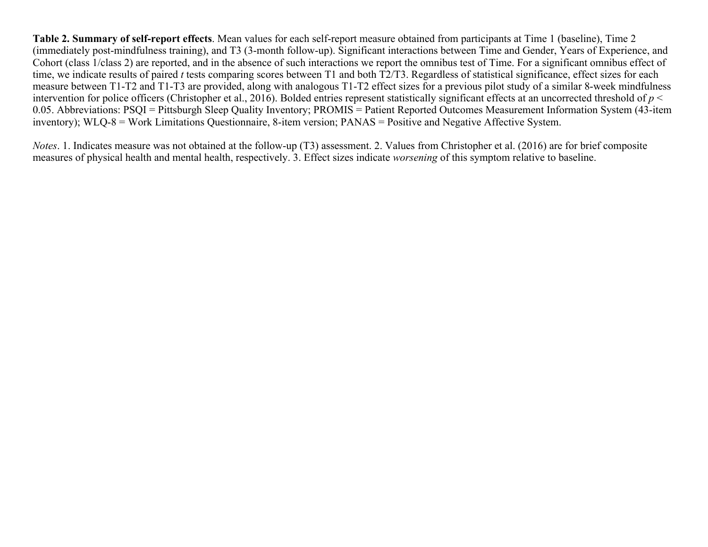**Table 2. Summary of self-report effects**. Mean values for each self-report measure obtained from participants at Time 1 (baseline), Time 2 (immediately post-mindfulness training), and T3 (3-month follow-up). Significant interactions between Time and Gender, Years of Experience, and Cohort (class 1/class 2) are reported, and in the absence of such interactions we report the omnibus test of Time. For a significant omnibus effect of time, we indicate results of paired *t* tests comparing scores between T1 and both T2/T3. Regardless of statistical significance, effect sizes for each measure between T1-T2 and T1-T3 are provided, along with analogous T1-T2 effect sizes for a previous pilot study of a similar 8-week mindfulness intervention for police officers (Christopher et al., 2016). Bolded entries represent statistically significant effects at an uncorrected threshold of *p* < 0.05. Abbreviations: PSQI = Pittsburgh Sleep Quality Inventory; PROMIS = Patient Reported Outcomes Measurement Information System (43-item inventory); WLQ-8 = Work Limitations Questionnaire, 8-item version; PANAS = Positive and Negative Affective System.

*Notes*. 1. Indicates measure was not obtained at the follow-up (T3) assessment. 2. Values from Christopher et al. (2016) are for brief composite measures of physical health and mental health, respectively. 3. Effect sizes indicate *worsening* of this symptom relative to baseline.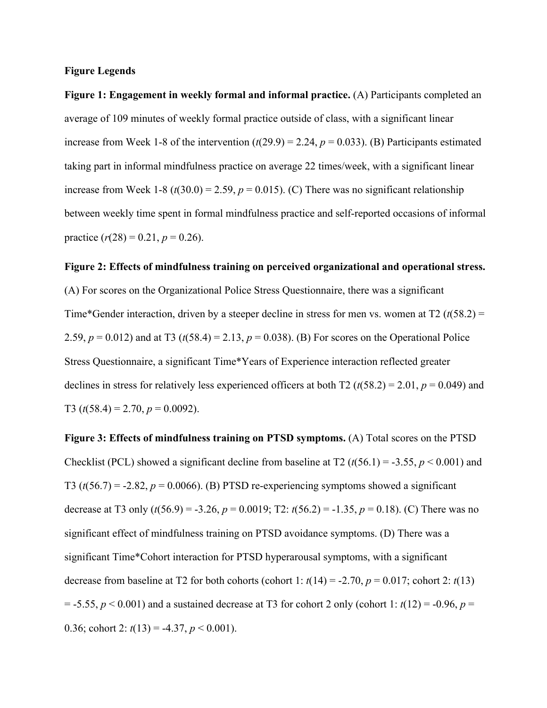# **Figure Legends**

**Figure 1: Engagement in weekly formal and informal practice.** (A) Participants completed an average of 109 minutes of weekly formal practice outside of class, with a significant linear increase from Week 1-8 of the intervention  $(t(29.9) = 2.24, p = 0.033)$ . (B) Participants estimated taking part in informal mindfulness practice on average 22 times/week, with a significant linear increase from Week 1-8 ( $t(30.0) = 2.59$ ,  $p = 0.015$ ). (C) There was no significant relationship between weekly time spent in formal mindfulness practice and self-reported occasions of informal practice  $(r(28) = 0.21, p = 0.26)$ .

#### **Figure 2: Effects of mindfulness training on perceived organizational and operational stress.**

(A) For scores on the Organizational Police Stress Questionnaire, there was a significant Time\*Gender interaction, driven by a steeper decline in stress for men vs. women at  $T2 (t(58.2) =$ 2.59, *p* = 0.012) and at T3 (*t*(58.4) = 2.13, *p* = 0.038). (B) For scores on the Operational Police Stress Questionnaire, a significant Time\*Years of Experience interaction reflected greater declines in stress for relatively less experienced officers at both T2 ( $t(58.2) = 2.01$ ,  $p = 0.049$ ) and T3 ( $t(58.4) = 2.70$ ,  $p = 0.0092$ ).

**Figure 3: Effects of mindfulness training on PTSD symptoms.** (A) Total scores on the PTSD Checklist (PCL) showed a significant decline from baseline at T2 ( $t(56.1) = -3.55$ ,  $p < 0.001$ ) and T3  $(t(56.7) = -2.82, p = 0.0066)$ . (B) PTSD re-experiencing symptoms showed a significant decrease at T3 only  $(t(56.9) = -3.26, p = 0.0019; T2$ :  $t(56.2) = -1.35, p = 0.18$ ). (C) There was no significant effect of mindfulness training on PTSD avoidance symptoms. (D) There was a significant Time\*Cohort interaction for PTSD hyperarousal symptoms, with a significant decrease from baseline at T2 for both cohorts (cohort 1:  $t(14) = -2.70$ ,  $p = 0.017$ ; cohort 2:  $t(13)$ )  $=$  -5.55,  $p < 0.001$ ) and a sustained decrease at T3 for cohort 2 only (cohort 1:  $t(12) = -0.96$ ,  $p =$ 0.36; cohort 2:  $t(13) = -4.37, p < 0.001$ ).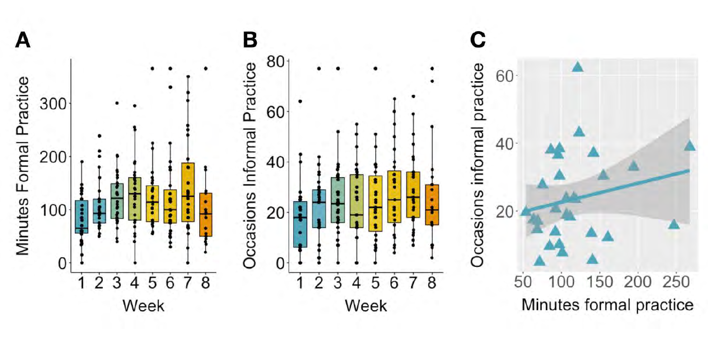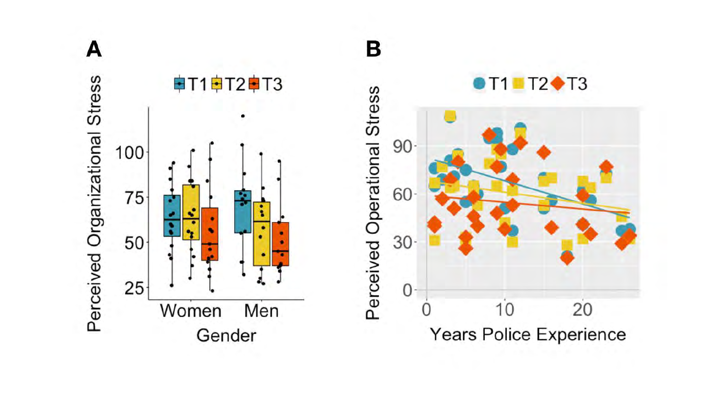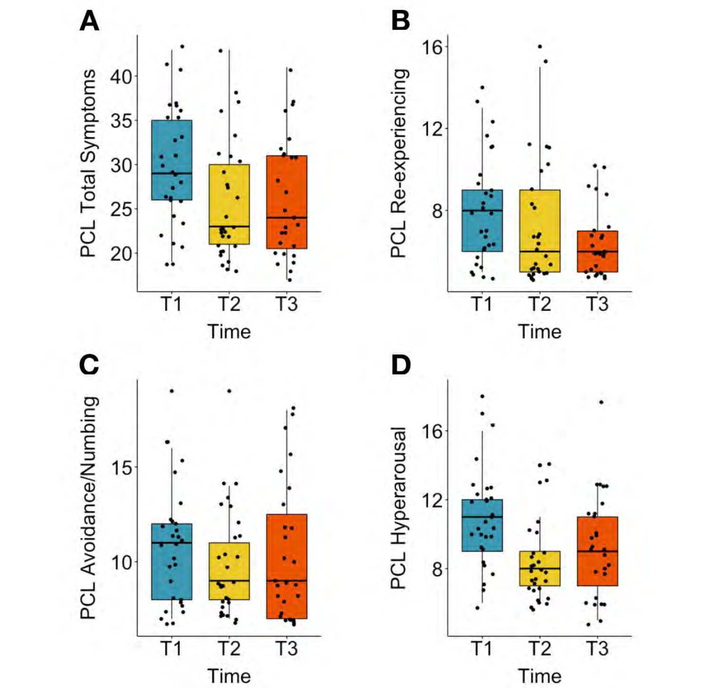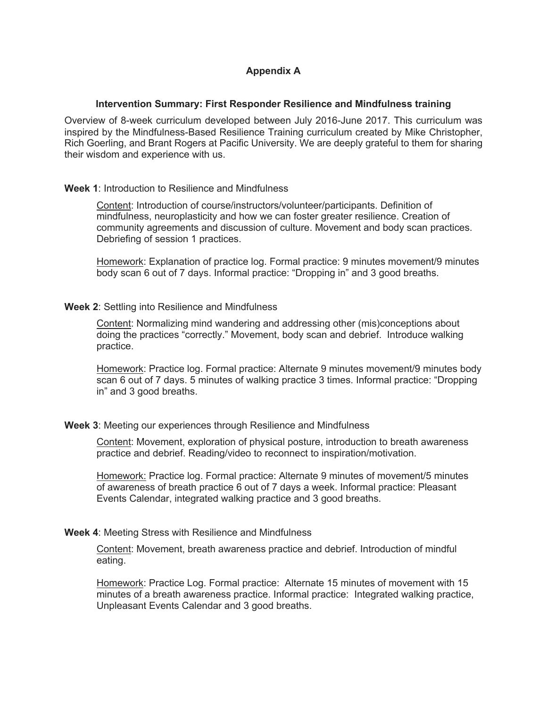# **Appendix A**

# **Intervention Summary: First Responder Resilience and Mindfulness training**

Overview of 8-week curriculum developed between July 2016-June 2017. This curriculum was inspired by the Mindfulness-Based Resilience Training curriculum created by Mike Christopher, Rich Goerling, and Brant Rogers at Pacific University. We are deeply grateful to them for sharing their wisdom and experience with us.

# **Week 1**: Introduction to Resilience and Mindfulness

Content: Introduction of course/instructors/volunteer/participants. Definition of mindfulness, neuroplasticity and how we can foster greater resilience. Creation of community agreements and discussion of culture. Movement and body scan practices. Debriefing of session 1 practices.

Homework: Explanation of practice log. Formal practice: 9 minutes movement/9 minutes body scan 6 out of 7 days. Informal practice: "Dropping in" and 3 good breaths.

# **Week 2**: Settling into Resilience and Mindfulness

Content: Normalizing mind wandering and addressing other (mis)conceptions about doing the practices "correctly." Movement, body scan and debrief. Introduce walking practice.

Homework: Practice log. Formal practice: Alternate 9 minutes movement/9 minutes body scan 6 out of 7 days. 5 minutes of walking practice 3 times. Informal practice: "Dropping in" and 3 good breaths.

# **Week 3**: Meeting our experiences through Resilience and Mindfulness

Content: Movement, exploration of physical posture, introduction to breath awareness practice and debrief. Reading/video to reconnect to inspiration/motivation.

Homework: Practice log. Formal practice: Alternate 9 minutes of movement/5 minutes of awareness of breath practice 6 out of 7 days a week. Informal practice: Pleasant Events Calendar, integrated walking practice and 3 good breaths.

# **Week 4**: Meeting Stress with Resilience and Mindfulness

Content: Movement, breath awareness practice and debrief. Introduction of mindful eating.

Homework: Practice Log. Formal practice: Alternate 15 minutes of movement with 15 minutes of a breath awareness practice. Informal practice: Integrated walking practice, Unpleasant Events Calendar and 3 good breaths.